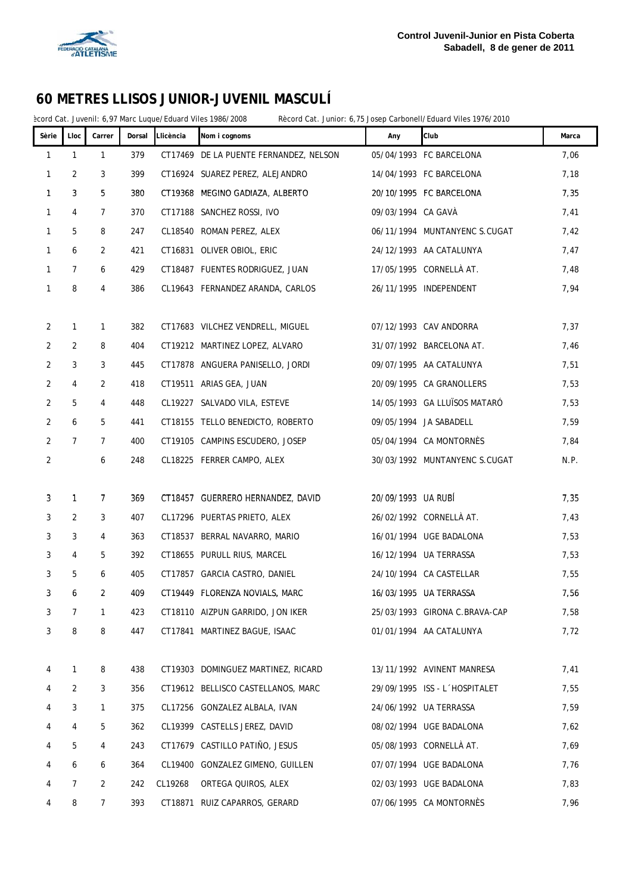

ècord Cat. Juvenil: 6,97 Marc Luque/Eduard Viles 1986/2008 Rècord Cat. Junior: 6,75 Josep Carbonell/Eduard Viles 1976/2010

| Sèrie          | Lloc           | Carrer         | Dorsal | Llicència | Nom i cognoms                          | Any                | Club                          | Marca |
|----------------|----------------|----------------|--------|-----------|----------------------------------------|--------------------|-------------------------------|-------|
| 1              | $\mathbf{1}$   | 1              | 379    |           | CT17469 DE LA PUENTE FERNANDEZ, NELSON |                    | 05/04/1993 FC BARCELONA       | 7,06  |
| 1              | 2              | 3              | 399    |           | CT16924 SUAREZ PEREZ, ALEJANDRO        |                    | 14/04/1993 FC BARCELONA       | 7,18  |
| $\mathbf{1}$   | 3              | 5              | 380    |           | CT19368 MEGINO GADIAZA, ALBERTO        |                    | 20/10/1995 FC BARCELONA       | 7,35  |
| $\mathbf{1}$   | 4              | $\overline{7}$ | 370    |           | CT17188 SANCHEZ ROSSI, IVO             | 09/03/1994 CA GAVA |                               | 7,41  |
| $\mathbf{1}$   | 5              | 8              | 247    |           | CL18540 ROMAN PEREZ, ALEX              |                    | 06/11/1994 MUNTANYENC S.CUGAT | 7,42  |
| $\mathbf{1}$   | 6              | 2              | 421    |           | CT16831 OLIVER OBIOL, ERIC             |                    | 24/12/1993 AA CATALUNYA       | 7,47  |
| $\mathbf{1}$   | $\overline{7}$ | 6              | 429    |           | CT18487 FUENTES RODRIGUEZ, JUAN        |                    | 17/05/1995 CORNELLÀ AT.       | 7,48  |
| 1              | 8              | 4              | 386    |           | CL19643 FERNANDEZ ARANDA, CARLOS       |                    | 26/11/1995 INDEPENDENT        | 7,94  |
|                |                |                |        |           |                                        |                    |                               |       |
| $\overline{2}$ | 1              | 1              | 382    |           | CT17683 VILCHEZ VENDRELL, MIGUEL       |                    | 07/12/1993 CAV ANDORRA        | 7,37  |
| $\overline{2}$ | 2              | 8              | 404    |           | CT19212 MARTINEZ LOPEZ, ALVARO         |                    | 31/07/1992 BARCELONA AT.      | 7,46  |
| $\overline{2}$ | 3              | 3              | 445    |           | CT17878 ANGUERA PANISELLO, JORDI       |                    | 09/07/1995 AA CATALUNYA       | 7,51  |
| $\overline{2}$ | 4              | 2              | 418    |           | CT19511 ARIAS GEA, JUAN                |                    | 20/09/1995 CA GRANOLLERS      | 7,53  |
| $\overline{2}$ | 5              | 4              | 448    |           | CL19227 SALVADO VILA, ESTEVE           |                    | 14/05/1993 GA LLUÏSOS MATARÓ  | 7,53  |
| $\overline{2}$ | 6              | 5              | 441    |           | CT18155 TELLO BENEDICTO, ROBERTO       |                    | 09/05/1994 JA SABADELL        | 7,59  |
| $\overline{2}$ | $\overline{7}$ | $\mathcal{I}$  | 400    |           | CT19105 CAMPINS ESCUDERO, JOSEP        |                    | 05/04/1994 CA MONTORNÈS       | 7,84  |
| $\overline{2}$ |                | 6              | 248    |           | CL18225 FERRER CAMPO, ALEX             |                    | 30/03/1992 MUNTANYENC S.CUGAT | N.P.  |
|                |                |                |        |           |                                        |                    |                               |       |
| 3              | $\mathbf{1}$   | 7              | 369    |           | CT18457 GUERRERO HERNANDEZ, DAVID      | 20/09/1993 UA RUBÍ |                               | 7,35  |
| 3              | 2              | 3              | 407    |           | CL17296 PUERTAS PRIETO, ALEX           |                    | 26/02/1992 CORNELLÀ AT.       | 7,43  |
| 3              | 3              | 4              | 363    |           | CT18537 BERRAL NAVARRO, MARIO          |                    | 16/01/1994 UGE BADALONA       | 7,53  |
| 3              | 4              | 5              | 392    |           | CT18655 PURULL RIUS, MARCEL            |                    | 16/12/1994 UA TERRASSA        | 7,53  |
| 3              | 5              | 6              | 405    |           | CT17857 GARCIA CASTRO, DANIEL          |                    | 24/10/1994 CA CASTELLAR       | 7,55  |
| 3              | 6              | 2              | 409    |           | CT19449 FLORENZA NOVIALS, MARC         |                    | 16/03/1995 UA TERRASSA        | 7,56  |
| 3              | 7              | 1              | 423    |           | CT18110 AIZPUN GARRIDO, JON IKER       |                    | 25/03/1993 GIRONA C.BRAVA-CAP | 7,58  |
| 3              | 8              | 8              | 447    |           | CT17841 MARTINEZ BAGUE, ISAAC          |                    | 01/01/1994 AA CATALUNYA       | 7,72  |
|                |                |                |        |           |                                        |                    |                               |       |
| 4              | 1              | 8              | 438    |           | CT19303 DOMINGUEZ MARTINEZ, RICARD     |                    | 13/11/1992 AVINENT MANRESA    | 7,41  |
| 4              | 2              | 3              | 356    |           | CT19612 BELLISCO CASTELLANOS, MARC     |                    | 29/09/1995 ISS - L'HOSPITALET | 7,55  |
| 4              | 3              | 1              | 375    |           | CL17256 GONZALEZ ALBALA, IVAN          |                    | 24/06/1992 UA TERRASSA        | 7,59  |
| 4              | 4              | 5              | 362    |           | CL19399 CASTELLS JEREZ, DAVID          |                    | 08/02/1994 UGE BADALONA       | 7,62  |
| 4              | 5              | 4              | 243    |           | CT17679 CASTILLO PATIÑO, JESUS         |                    | 05/08/1993 CORNELLÀ AT.       | 7,69  |
| 4              | 6              | 6              | 364    |           | CL19400 GONZALEZ GIMENO, GUILLEN       |                    | 07/07/1994 UGE BADALONA       | 7,76  |
| 4              | 7              | 2              | 242    | CL19268   | ORTEGA QUIROS, ALEX                    |                    | 02/03/1993 UGE BADALONA       | 7,83  |
| 4              | 8              | 7              | 393    |           | CT18871 RUIZ CAPARROS, GERARD          |                    | 07/06/1995 CA MONTORNÈS       | 7,96  |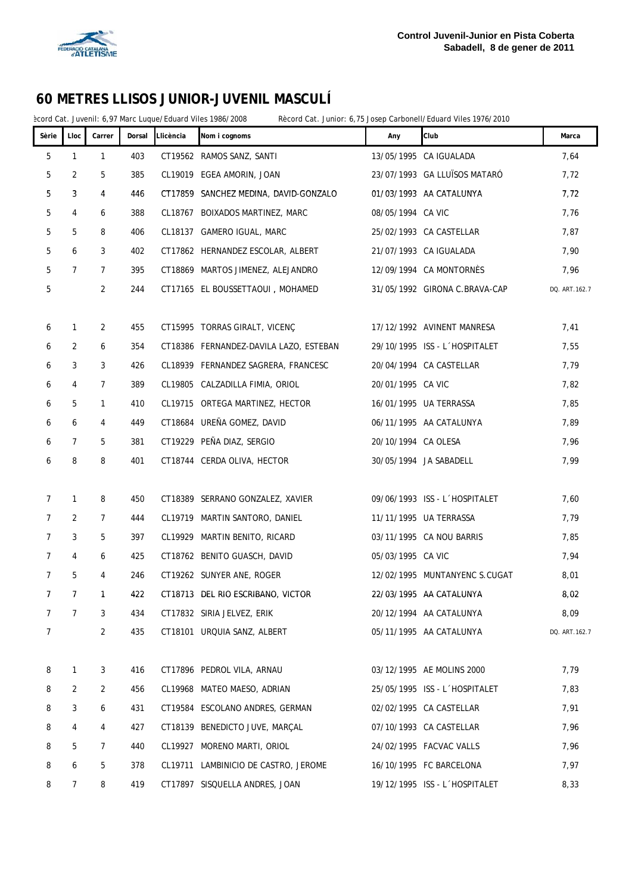

ècord Cat. Juvenil: 6,97 Marc Luque/Eduard Viles 1986/2008 Rècord Cat. Junior: 6,75 Josep Carbonell/Eduard Viles 1976/2010

| Sèrie          | Lloc         | Carrer         | Dorsal | Llicència | Nom i cognoms                          | Any                 | Club                          | Marca         |
|----------------|--------------|----------------|--------|-----------|----------------------------------------|---------------------|-------------------------------|---------------|
| $\mathbf 5$    | $\mathbf{1}$ | $\mathbf{1}$   | 403    |           | CT19562 RAMOS SANZ, SANTI              |                     | 13/05/1995 CA IGUALADA        | 7,64          |
| 5              | 2            | 5              | 385    |           | CL19019 EGEA AMORIN, JOAN              |                     | 23/07/1993 GA LLUÏSOS MATARÓ  | 7,72          |
| 5              | 3            | 4              | 446    |           | CT17859 SANCHEZ MEDINA, DAVID-GONZALO  |                     | 01/03/1993 AA CATALUNYA       | 7,72          |
| 5              | 4            | 6              | 388    |           | CL18767 BOIXADOS MARTINEZ, MARC        | 08/05/1994 CA VIC   |                               | 7,76          |
| 5              | 5            | 8              | 406    |           | CL18137 GAMERO IGUAL, MARC             |                     | 25/02/1993 CA CASTELLAR       | 7,87          |
| 5              | 6            | 3              | 402    |           | CT17862 HERNANDEZ ESCOLAR, ALBERT      |                     | 21/07/1993 CA IGUALADA        | 7,90          |
| 5              | 7            | $\overline{7}$ | 395    |           | CT18869 MARTOS JIMENEZ, ALEJANDRO      |                     | 12/09/1994 CA MONTORNÈS       | 7,96          |
| 5              |              | $\overline{2}$ | 244    |           | CT17165 EL BOUSSETTAOUI, MOHAMED       |                     | 31/05/1992 GIRONA C.BRAVA-CAP | DQ. ART.162.7 |
|                |              |                |        |           |                                        |                     |                               |               |
| 6              | 1            | 2              | 455    |           | CT15995 TORRAS GIRALT, VICENC          |                     | 17/12/1992 AVINENT MANRESA    | 7,41          |
| 6              | 2            | 6              | 354    |           | CT18386 FERNANDEZ-DAVILA LAZO, ESTEBAN |                     | 29/10/1995 ISS - L'HOSPITALET | 7,55          |
| 6              | 3            | 3              | 426    |           | CL18939 FERNANDEZ SAGRERA, FRANCESC    |                     | 20/04/1994 CA CASTELLAR       | 7,79          |
| 6              | 4            | 7              | 389    |           | CL19805 CALZADILLA FIMIA, ORIOL        | 20/01/1995 CA VIC   |                               | 7,82          |
| 6              | 5            | $\mathbf{1}$   | 410    |           | CL19715 ORTEGA MARTINEZ, HECTOR        |                     | 16/01/1995 UA TERRASSA        | 7,85          |
| 6              | 6            | 4              | 449    |           | CT18684 UREÑA GOMEZ, DAVID             |                     | 06/11/1995 AA CATALUNYA       | 7,89          |
| 6              | 7            | 5              | 381    |           | CT19229 PEÑA DIAZ, SERGIO              | 20/10/1994 CA OLESA |                               | 7,96          |
| 6              | 8            | 8              | 401    |           | CT18744 CERDA OLIVA, HECTOR            |                     | 30/05/1994 JA SABADELL        | 7,99          |
|                |              |                |        |           |                                        |                     |                               |               |
| $\overline{7}$ | $\mathbf{1}$ | 8              | 450    |           | CT18389 SERRANO GONZALEZ, XAVIER       |                     | 09/06/1993 ISS - L'HOSPITALET | 7,60          |
| 7              | 2            | 7              | 444    |           | CL19719 MARTIN SANTORO, DANIEL         |                     | 11/11/1995 UA TERRASSA        | 7,79          |
| 7              | 3            | 5              | 397    |           | CL19929 MARTIN BENITO, RICARD          |                     | 03/11/1995 CA NOU BARRIS      | 7,85          |
| 7              | 4            | 6              | 425    |           | CT18762 BENITO GUASCH, DAVID           | 05/03/1995 CA VIC   |                               | 7,94          |
| 7              | 5            | 4              | 246    |           | CT19262 SUNYER ANE, ROGER              |                     | 12/02/1995 MUNTANYENC S.CUGAT | 8,01          |
| 7              | 7            | 1              | 422    |           | CT18713 DEL RIO ESCRIBANO, VICTOR      |                     | 22/03/1995 AA CATALUNYA       | 8,02          |
| 7              | 7            | 3              | 434    |           | CT17832 SIRIA JELVEZ, ERIK             |                     | 20/12/1994 AA CATALUNYA       | 8,09          |
| 7              |              | $\overline{c}$ | 435    |           | CT18101 URQUIA SANZ, ALBERT            |                     | 05/11/1995 AA CATALUNYA       | DQ. ART.162.7 |
| 8              | 1            | 3              | 416    |           | CT17896 PEDROL VILA, ARNAU             |                     | 03/12/1995 AE MOLINS 2000     | 7,79          |
| 8              | 2            | 2              | 456    |           | CL19968 MATEO MAESO, ADRIAN            |                     | 25/05/1995 ISS - L'HOSPITALET | 7,83          |
| 8              | 3            | 6              | 431    |           | CT19584 ESCOLANO ANDRES, GERMAN        |                     | 02/02/1995 CA CASTELLAR       | 7,91          |
| 8              | 4            | 4              | 427    |           | CT18139 BENEDICTO JUVE, MARÇAL         |                     | 07/10/1993 CA CASTELLAR       | 7,96          |
| 8              | 5            | 7              | 440    |           | CL19927 MORENO MARTI, ORIOL            |                     | 24/02/1995 FACVAC VALLS       | 7,96          |
| 8              | 6            | 5              | 378    |           | CL19711 LAMBINICIO DE CASTRO, JEROME   |                     | 16/10/1995 FC BARCELONA       | 7,97          |
| 8              | 7            | 8              | 419    |           | CT17897 SISQUELLA ANDRES, JOAN         |                     | 19/12/1995 ISS - L'HOSPITALET | 8,33          |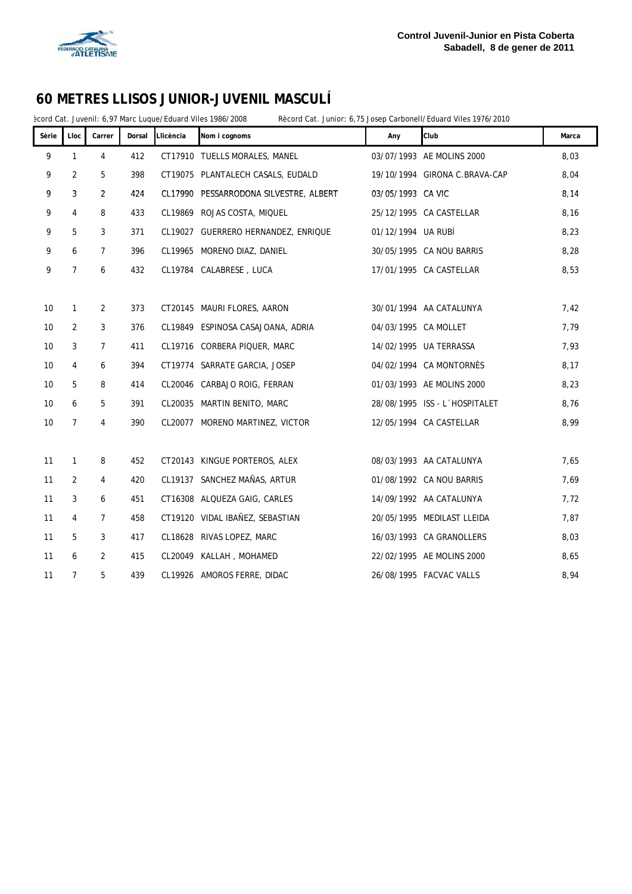

ècord Cat. Juvenil: 6,97 Marc Luque/Eduard Viles 1986/2008 Rècord Cat. Junior: 6,75 Josep Carbonell/Eduard Viles 1976/2010

| Sèrie           | Lloc           | Carrer         | Dorsal | Llicència | Nom i cognoms                          | Any                  | Club                          | Marca |
|-----------------|----------------|----------------|--------|-----------|----------------------------------------|----------------------|-------------------------------|-------|
| 9               | $\mathbf{1}$   | 4              | 412    |           | CT17910 TUELLS MORALES, MANEL          |                      | 03/07/1993 AE MOLINS 2000     | 8,03  |
| 9               | $\overline{2}$ | 5              | 398    |           | CT19075 PLANTALECH CASALS, EUDALD      |                      | 19/10/1994 GIRONA C.BRAVA-CAP | 8,04  |
| 9               | 3              | $\overline{2}$ | 424    |           | CL17990 PESSARRODONA SILVESTRE, ALBERT | 03/05/1993 CA VIC    |                               | 8,14  |
| 9               | 4              | 8              | 433    |           | CL19869 ROJAS COSTA, MIQUEL            |                      | 25/12/1995 CA CASTELLAR       | 8,16  |
| 9               | 5              | 3              | 371    |           | CL19027 GUERRERO HERNANDEZ, ENRIQUE    | 01/12/1994 UA RUBÍ   |                               | 8,23  |
| 9               | 6              | $\overline{7}$ | 396    |           | CL19965 MORENO DIAZ, DANIEL            |                      | 30/05/1995 CA NOU BARRIS      | 8,28  |
| 9               | $\overline{7}$ | 6              | 432    |           | CL19784 CALABRESE, LUCA                |                      | 17/01/1995 CA CASTELLAR       | 8,53  |
|                 |                |                |        |           |                                        |                      |                               |       |
| 10              | $\mathbf{1}$   | 2              | 373    |           | CT20145 MAURI FLORES, AARON            |                      | 30/01/1994 AA CATALUNYA       | 7,42  |
| 10              | 2              | 3              | 376    |           | CL19849 ESPINOSA CASAJOANA, ADRIA      | 04/03/1995 CA MOLLET |                               | 7,79  |
| 10              | 3              | $\overline{7}$ | 411    |           | CL19716 CORBERA PIQUER, MARC           |                      | 14/02/1995 UA TERRASSA        | 7,93  |
| 10              | 4              | 6              | 394    |           | CT19774 SARRATE GARCIA, JOSEP          |                      | 04/02/1994 CA MONTORNÈS       | 8,17  |
| 10 <sup>°</sup> | 5              | 8              | 414    |           | CL20046 CARBAJO ROIG, FERRAN           |                      | 01/03/1993 AE MOLINS 2000     | 8,23  |
| 10              | 6              | 5              | 391    |           | CL20035 MARTIN BENITO, MARC            |                      | 28/08/1995 ISS - L'HOSPITALET | 8,76  |
| 10 <sup>°</sup> | $\overline{7}$ | $\overline{4}$ | 390    |           | CL20077 MORENO MARTINEZ, VICTOR        |                      | 12/05/1994 CA CASTELLAR       | 8,99  |
|                 |                |                |        |           |                                        |                      |                               |       |
| 11              | $\mathbf{1}$   | 8              | 452    |           | CT20143 KINGUE PORTEROS, ALEX          |                      | 08/03/1993 AA CATALUNYA       | 7,65  |
| 11              | $\overline{2}$ | 4              | 420    |           | CL19137 SANCHEZ MAÑAS, ARTUR           |                      | 01/08/1992 CA NOU BARRIS      | 7,69  |
| 11              | 3              | 6              | 451    |           | CT16308 ALQUEZA GAIG, CARLES           |                      | 14/09/1992 AA CATALUNYA       | 7,72  |
| 11              | 4              | $\overline{7}$ | 458    |           | CT19120 VIDAL IBAÑEZ, SEBASTIAN        |                      | 20/05/1995 MEDILAST LLEIDA    | 7,87  |
| 11              | 5              | 3              | 417    |           | CL18628 RIVAS LOPEZ, MARC              |                      | 16/03/1993 CA GRANOLLERS      | 8,03  |
| 11              | 6              | $\overline{2}$ | 415    |           | CL20049 KALLAH, MOHAMED                |                      | 22/02/1995 AE MOLINS 2000     | 8,65  |
| 11              | $\overline{7}$ | 5              | 439    |           | CL19926 AMOROS FERRE, DIDAC            |                      | 26/08/1995 FACVAC VALLS       | 8,94  |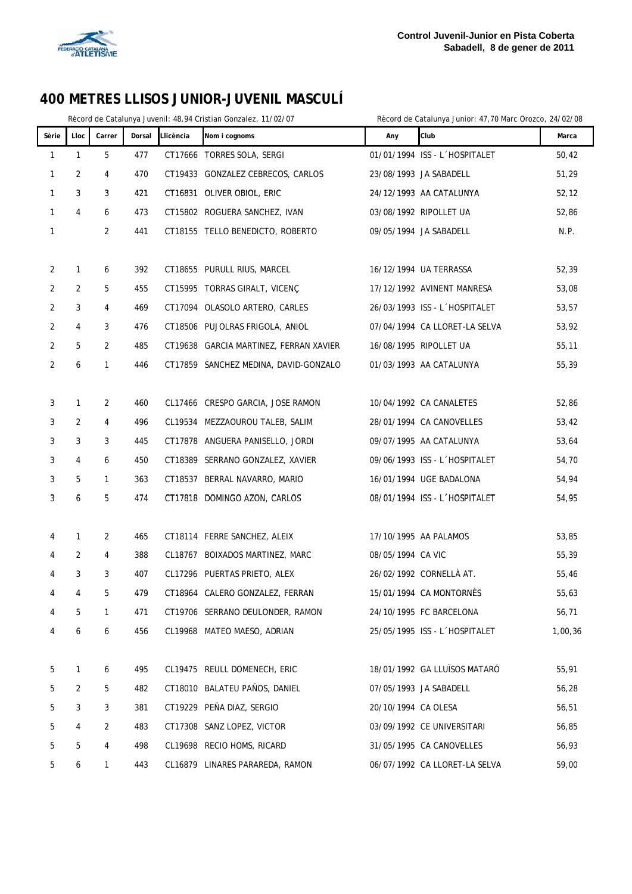

#### Rècord de Catalunya Juvenil: 48,94 Cristian Gonzalez, 11/02/07 Rècord de Catalunya Junior: 47,70 Marc Orozco, 24/02/08

| Sèrie | Lloc         | Carrer         | Dorsal | Llicència | Nom i cognoms                          | Any                 | Club                          | Marca   |
|-------|--------------|----------------|--------|-----------|----------------------------------------|---------------------|-------------------------------|---------|
| 1     | $\mathbf{1}$ | 5              | 477    |           | CT17666 TORRES SOLA, SERGI             |                     | 01/01/1994 ISS - L'HOSPITALET | 50,42   |
| 1     | 2            | 4              | 470    |           | CT19433 GONZALEZ CEBRECOS, CARLOS      |                     | 23/08/1993 JA SABADELL        | 51,29   |
| 1     | 3            | 3              | 421    |           | CT16831 OLIVER OBIOL, ERIC             |                     | 24/12/1993 AA CATALUNYA       | 52, 12  |
| 1     | 4            | 6              | 473    |           | CT15802 ROGUERA SANCHEZ, IVAN          |                     | 03/08/1992 RIPOLLET UA        | 52,86   |
| 1     |              | 2              | 441    |           | CT18155 TELLO BENEDICTO, ROBERTO       |                     | 09/05/1994 JA SABADELL        | N.P.    |
|       |              |                |        |           |                                        |                     |                               |         |
| 2     | $\mathbf{1}$ | 6              | 392    |           | CT18655 PURULL RIUS, MARCEL            |                     | 16/12/1994 UA TERRASSA        | 52,39   |
| 2     | 2            | 5              | 455    |           | CT15995 TORRAS GIRALT, VICENÇ          |                     | 17/12/1992 AVINENT MANRESA    | 53,08   |
| 2     | 3            | 4              | 469    |           | CT17094 OLASOLO ARTERO, CARLES         |                     | 26/03/1993 ISS - L'HOSPITALET | 53,57   |
| 2     | 4            | 3              | 476    |           | CT18506 PUJOLRAS FRIGOLA, ANIOL        |                     | 07/04/1994 CA LLORET-LA SELVA | 53,92   |
| 2     | 5            | $\overline{2}$ | 485    |           | CT19638 GARCIA MARTINEZ, FERRAN XAVIER |                     | 16/08/1995 RIPOLLET UA        | 55,11   |
| 2     | 6            | 1              | 446    |           | CT17859 SANCHEZ MEDINA, DAVID-GONZALO  |                     | 01/03/1993 AA CATALUNYA       | 55,39   |
| 3     | $\mathbf{1}$ | 2              | 460    |           | CL17466 CRESPO GARCIA, JOSE RAMON      |                     | 10/04/1992 CA CANALETES       | 52,86   |
| 3     | 2            | 4              | 496    |           | CL19534 MEZZAOUROU TALEB, SALIM        |                     | 28/01/1994 CA CANOVELLES      | 53,42   |
| 3     | 3            | 3              | 445    |           | CT17878 ANGUERA PANISELLO, JORDI       |                     | 09/07/1995 AA CATALUNYA       | 53,64   |
| 3     | 4            | 6              | 450    |           | CT18389 SERRANO GONZALEZ, XAVIER       |                     | 09/06/1993 ISS - L'HOSPITALET | 54,70   |
| 3     | 5            | 1              | 363    |           | CT18537 BERRAL NAVARRO, MARIO          |                     | 16/01/1994 UGE BADALONA       | 54,94   |
| 3     | 6            | 5              | 474    |           | CT17818 DOMINGO AZON, CARLOS           |                     | 08/01/1994 ISS - L'HOSPITALET | 54,95   |
|       |              |                |        |           |                                        |                     |                               |         |
| 4     | $\mathbf{1}$ | 2              | 465    |           | CT18114 FERRE SANCHEZ, ALEIX           |                     | 17/10/1995 AA PALAMOS         | 53,85   |
| 4     | 2            | 4              | 388    |           | CL18767 BOIXADOS MARTINEZ, MARC        | 08/05/1994 CA VIC   |                               | 55,39   |
| 4     | 3            | 3              | 407    |           | CL17296 PUERTAS PRIETO, ALEX           |                     | 26/02/1992 CORNELLÀ AT.       | 55,46   |
| 4     | 4            | 5              | 479    |           | CT18964 CALERO GONZALEZ, FERRAN        |                     | 15/01/1994 CA MONTORNES       | 55,63   |
| 4     | 5            | 1              | 471    |           | CT19706 SERRANO DEULONDER, RAMON       |                     | 24/10/1995 FC BARCELONA       | 56,71   |
| 4     | 6            | 6              | 456    |           | CL19968 MATEO MAESO, ADRIAN            |                     | 25/05/1995 ISS - L'HOSPITALET | 1,00,36 |
| 5     | $\mathbf{1}$ | 6              | 495    |           | CL19475 REULL DOMENECH, ERIC           |                     | 18/01/1992 GA LLUÏSOS MATARÓ  | 55,91   |
| 5     | 2            | 5              | 482    |           | CT18010 BALATEU PAÑOS, DANIEL          |                     | 07/05/1993 JA SABADELL        | 56,28   |
| 5     | 3            | 3              | 381    |           | CT19229 PEÑA DIAZ, SERGIO              | 20/10/1994 CA OLESA |                               | 56,51   |
| 5     | 4            | 2              | 483    |           | CT17308 SANZ LOPEZ, VICTOR             |                     | 03/09/1992 CE UNIVERSITARI    | 56,85   |
| 5     | 5            | 4              | 498    |           | CL19698 RECIO HOMS, RICARD             |                     | 31/05/1995 CA CANOVELLES      | 56,93   |
|       |              |                |        |           |                                        |                     |                               |         |

5 6 1 443 CL16879 LINARES PARAREDA, RAMON 06/07/1992 CA LLORET-LA SELVA 59,00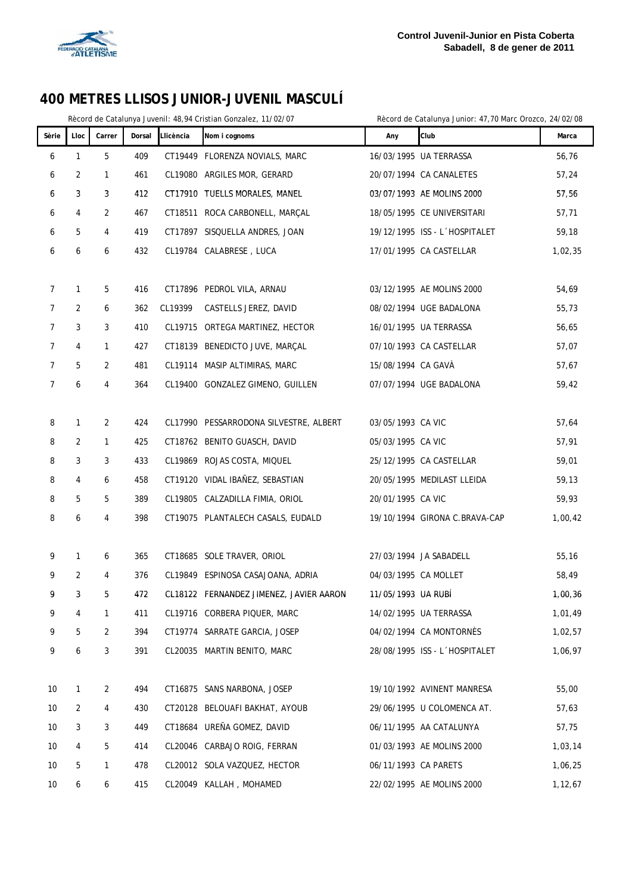

Rècord de Catalunya Juvenil: 48,94 Cristian Gonzalez, 11/02/07 Rècord de Catalunya Junior: 47,70 Marc Orozco, 24/02/08

| Sèrie          | Lloc         | Carrer         | Dorsal | Llicència | Nom i cognoms                           | Any                  | Club                          | Marca   |
|----------------|--------------|----------------|--------|-----------|-----------------------------------------|----------------------|-------------------------------|---------|
| 6              | $\mathbf{1}$ | 5              | 409    |           | CT19449 FLORENZA NOVIALS, MARC          |                      | 16/03/1995 UA TERRASSA        | 56,76   |
| 6              | 2            | $\mathbf{1}$   | 461    |           | CL19080 ARGILES MOR, GERARD             |                      | 20/07/1994 CA CANALETES       | 57,24   |
| 6              | 3            | 3              | 412    |           | CT17910 TUELLS MORALES, MANEL           |                      | 03/07/1993 AE MOLINS 2000     | 57,56   |
| 6              | 4            | 2              | 467    |           | CT18511 ROCA CARBONELL, MARÇAL          |                      | 18/05/1995 CE UNIVERSITARI    | 57,71   |
| 6              | 5            | 4              | 419    |           | CT17897 SISQUELLA ANDRES, JOAN          |                      | 19/12/1995 ISS - L'HOSPITALET | 59,18   |
| 6              | 6            | 6              | 432    |           | CL19784 CALABRESE, LUCA                 |                      | 17/01/1995 CA CASTELLAR       | 1,02,35 |
|                |              |                |        |           |                                         |                      |                               |         |
| $\mathcal{I}$  | $\mathbf{1}$ | 5              | 416    |           | CT17896 PEDROL VILA, ARNAU              |                      | 03/12/1995 AE MOLINS 2000     | 54,69   |
| $\overline{7}$ | 2            | 6              | 362    | CL19399   | CASTELLS JEREZ, DAVID                   |                      | 08/02/1994 UGE BADALONA       | 55,73   |
| $\overline{7}$ | 3            | 3              | 410    |           | CL19715 ORTEGA MARTINEZ, HECTOR         |                      | 16/01/1995 UA TERRASSA        | 56,65   |
| 7              | 4            | $\mathbf{1}$   | 427    |           | CT18139 BENEDICTO JUVE, MARCAL          |                      | 07/10/1993 CA CASTELLAR       | 57,07   |
| 7              | 5            | 2              | 481    |           | CL19114 MASIP ALTIMIRAS, MARC           | 15/08/1994 CA GAVÀ   |                               | 57,67   |
| 7              | 6            | 4              | 364    |           | CL19400 GONZALEZ GIMENO, GUILLEN        |                      | 07/07/1994 UGE BADALONA       | 59,42   |
|                |              |                |        |           |                                         |                      |                               |         |
| 8              | $\mathbf{1}$ | $\overline{2}$ | 424    |           | CL17990 PESSARRODONA SILVESTRE, ALBERT  | 03/05/1993 CA VIC    |                               | 57,64   |
| 8              | 2            | $\mathbf{1}$   | 425    |           | CT18762 BENITO GUASCH, DAVID            | 05/03/1995 CA VIC    |                               | 57,91   |
| 8              | 3            | 3              | 433    |           | CL19869 ROJAS COSTA, MIQUEL             |                      | 25/12/1995 CA CASTELLAR       | 59,01   |
| 8              | 4            | 6              | 458    |           | CT19120 VIDAL IBAÑEZ, SEBASTIAN         |                      | 20/05/1995 MEDILAST LLEIDA    | 59,13   |
| 8              | 5            | 5              | 389    |           | CL19805 CALZADILLA FIMIA, ORIOL         | 20/01/1995 CA VIC    |                               | 59,93   |
| 8              | 6            | 4              | 398    |           | CT19075 PLANTALECH CASALS, EUDALD       |                      | 19/10/1994 GIRONA C.BRAVA-CAP | 1,00,42 |
|                |              |                |        |           |                                         |                      |                               |         |
| 9              | 1            | 6              | 365    |           | CT18685 SOLE TRAVER, ORIOL              |                      | 27/03/1994 JA SABADELL        | 55,16   |
| 9              | 2            | 4              | 376    |           | CL19849 ESPINOSA CASAJOANA, ADRIA       | 04/03/1995 CA MOLLET |                               | 58,49   |
| 9              | 3            | 5              | 472    |           | CL18122 FERNANDEZ JIMENEZ, JAVIER AARON | 11/05/1993 UA RUBI   |                               | 1,00,36 |
| 9              | 4            | 1              | 411    |           | CL19716 CORBERA PIQUER, MARC            |                      | 14/02/1995 UA TERRASSA        | 1,01,49 |
| 9              | 5            | $\overline{2}$ | 394    |           | CT19774 SARRATE GARCIA, JOSEP           |                      | 04/02/1994 CA MONTORNÈS       | 1,02,57 |
| 9              | 6            | 3              | 391    |           | CL20035 MARTIN BENITO, MARC             |                      | 28/08/1995 ISS - L'HOSPITALET | 1,06,97 |
|                |              |                |        |           |                                         |                      |                               |         |
| 10             | 1            | 2              | 494    |           | CT16875 SANS NARBONA, JOSEP             |                      | 19/10/1992 AVINENT MANRESA    | 55,00   |
| 10             | 2            | 4              | 430    |           | CT20128 BELOUAFI BAKHAT, AYOUB          |                      | 29/06/1995 U COLOMENCA AT.    | 57,63   |
| 10             | 3            | 3              | 449    |           | CT18684 UREÑA GOMEZ, DAVID              |                      | 06/11/1995 AA CATALUNYA       | 57,75   |
| 10             | 4            | 5              | 414    |           | CL20046 CARBAJO ROIG, FERRAN            |                      | 01/03/1993 AE MOLINS 2000     | 1,03,14 |
| 10             | 5            | 1              | 478    |           | CL20012 SOLA VAZQUEZ, HECTOR            | 06/11/1993 CA PARETS |                               | 1,06,25 |
| 10             | 6            | 6              | 415    |           | CL20049 KALLAH, MOHAMED                 |                      | 22/02/1995 AE MOLINS 2000     | 1,12,67 |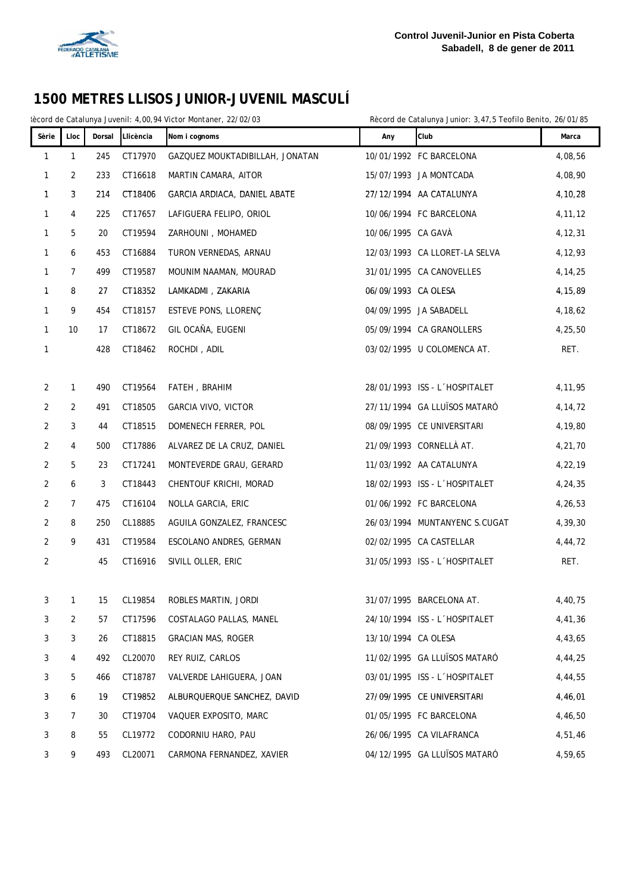

Rècord de Catalunya Juvenil: 4,00,94 Victor Montaner, 22/02/03 Rècord de Catalunya Junior: 3,47,5 Teofilo Benito, 26/01/85

| Sèrie          | Lloc         | Dorsal | Llicència  | Nom i cognoms                   | Any                 | Club                          | Marca     |
|----------------|--------------|--------|------------|---------------------------------|---------------------|-------------------------------|-----------|
| 1              | $\mathbf{1}$ | 245    | CT17970    | GAZQUEZ MOUKTADIBILLAH, JONATAN |                     | 10/01/1992 FC BARCELONA       | 4,08,56   |
| 1              | 2            | 233    | CT16618    | MARTIN CAMARA, AITOR            |                     | 15/07/1993 JA MONTCADA        | 4,08,90   |
| $\mathbf{1}$   | 3            | 214    | CT18406    | GARCIA ARDIACA, DANIEL ABATE    |                     | 27/12/1994 AA CATALUNYA       | 4,10,28   |
| 1              | 4            | 225    | CT17657    | LAFIGUERA FELIPO, ORIOL         |                     | 10/06/1994 FC BARCELONA       | 4, 11, 12 |
| 1              | 5            | 20     | CT19594    | ZARHOUNI, MOHAMED               | 10/06/1995 CA GAVÀ  |                               | 4, 12, 31 |
| 1              | 6            | 453    | CT16884    | TURON VERNEDAS, ARNAU           |                     | 12/03/1993 CA LLORET-LA SELVA | 4,12,93   |
| 1              | 7            | 499    | CT19587    | MOUNIM NAAMAN, MOURAD           |                     | 31/01/1995 CA CANOVELLES      | 4, 14, 25 |
| 1              | 8            | 27     | CT18352    | LAMKADMI, ZAKARIA               | 06/09/1993 CA OLESA |                               | 4, 15, 89 |
| 1              | 9            | 454    | CT18157    | ESTEVE PONS, LLORENÇ            |                     | 04/09/1995 JA SABADELL        | 4,18,62   |
| $\mathbf{1}$   | 10           | 17     | CT18672    | GIL OCAÑA, EUGENI               |                     | 05/09/1994 CA GRANOLLERS      | 4,25,50   |
| 1              |              | 428    | CT18462    | ROCHDI, ADIL                    |                     | 03/02/1995 U COLOMENCA AT.    | RET.      |
|                |              |        |            |                                 |                     |                               |           |
| 2              | $\mathbf{1}$ | 490    | CT19564    | FATEH, BRAHIM                   |                     | 28/01/1993 ISS - L'HOSPITALET | 4,11,95   |
| 2              | 2            | 491    | CT18505    | <b>GARCIA VIVO, VICTOR</b>      |                     | 27/11/1994 GA LLUÏSOS MATARÓ  | 4,14,72   |
| $\overline{2}$ | 3            | 44     | CT18515    | DOMENECH FERRER, POL            |                     | 08/09/1995 CE UNIVERSITARI    | 4,19,80   |
| 2              | 4            | 500    | CT17886    | ALVAREZ DE LA CRUZ, DANIEL      |                     | 21/09/1993 CORNELLÀ AT.       | 4,21,70   |
| 2              | 5            | 23     | CT17241    | MONTEVERDE GRAU, GERARD         |                     | 11/03/1992 AA CATALUNYA       | 4,22,19   |
| 2              | 6            | 3      | CT18443    | CHENTOUF KRICHI, MORAD          |                     | 18/02/1993 ISS - L'HOSPITALET | 4,24,35   |
| 2              | 7            | 475    | CT16104    | NOLLA GARCIA, ERIC              |                     | 01/06/1992 FC BARCELONA       | 4,26,53   |
| $\overline{2}$ | 8            | 250    | CL18885    | AGUILA GONZALEZ, FRANCESC       |                     | 26/03/1994 MUNTANYENC S.CUGAT | 4,39,30   |
| $\overline{2}$ | 9            | 431    | CT19584    | ESCOLANO ANDRES, GERMAN         |                     | 02/02/1995 CA CASTELLAR       | 4,44,72   |
| 2              |              | 45     | CT16916    | SIVILL OLLER, ERIC              |                     | 31/05/1993 ISS - L'HOSPITALET | RET.      |
|                |              |        |            |                                 |                     |                               |           |
| 3              | $\mathbf{1}$ |        | 15 CL19854 | ROBLES MARTIN, JORDI            |                     | 31/07/1995 BARCELONA AT.      | 4,40,75   |
| 3              | 2            | 57     | CT17596    | COSTALAGO PALLAS, MANEL         |                     | 24/10/1994 ISS - L'HOSPITALET | 4,41,36   |
| 3              | 3            | 26     | CT18815    | <b>GRACIAN MAS, ROGER</b>       | 13/10/1994 CA OLESA |                               | 4,43,65   |
| 3              | 4            | 492    | CL20070    | REY RUIZ, CARLOS                |                     | 11/02/1995 GA LLUÏSOS MATARÓ  | 4,44,25   |
| 3              | 5            | 466    | CT18787    | VALVERDE LAHIGUERA, JOAN        |                     | 03/01/1995 ISS - L'HOSPITALET | 4,44,55   |
| 3              | 6            | 19     | CT19852    | ALBURQUERQUE SANCHEZ, DAVID     |                     | 27/09/1995 CE UNIVERSITARI    | 4,46,01   |
| 3              | 7            | 30     | CT19704    | VAQUER EXPOSITO, MARC           |                     | 01/05/1995 FC BARCELONA       | 4,46,50   |
| 3              | 8            | 55     | CL19772    | CODORNIU HARO, PAU              |                     | 26/06/1995 CA VILAFRANCA      | 4,51,46   |
| 3              | 9            | 493    | CL20071    | CARMONA FERNANDEZ, XAVIER       |                     | 04/12/1995 GA LLUÏSOS MATARÓ  | 4,59,65   |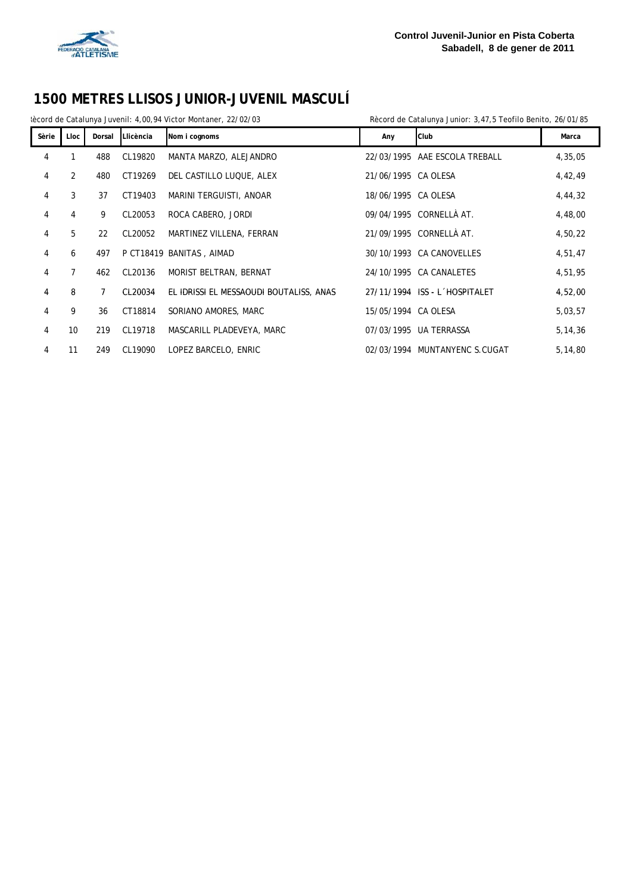

Rècord de Catalunya Juvenil: 4,00,94 Victor Montaner, 22/02/03 Rècord de Catalunya Junior: 3,47,5 Teofilo Benito, 26/01/85

| Sèrie          | Lloc            | Dorsal | Llicència | Nom i cognoms                           | Any                 | Club                          | Marca     |
|----------------|-----------------|--------|-----------|-----------------------------------------|---------------------|-------------------------------|-----------|
| 4              |                 | 488    | CL19820   | MANTA MARZO, ALEJANDRO                  |                     | 22/03/1995 AAE ESCOLA TREBALL | 4,35,05   |
| 4              | $\overline{2}$  | 480    | CT19269   | DEL CASTILLO LUQUE, ALEX                | 21/06/1995 CA OLESA |                               | 4,42,49   |
| 4              | 3               | 37     | CT19403   | MARINI TERGUISTI, ANOAR                 | 18/06/1995 CA OLESA |                               | 4,44,32   |
| 4              | 4               | 9      | CL20053   | ROCA CABERO, JORDI                      |                     | 09/04/1995 CORNELLÀ AT.       | 4,48,00   |
| 4              | 5               | 22     | CL20052   | MARTINEZ VILLENA, FERRAN                |                     | 21/09/1995 CORNELLÀ AT.       | 4,50,22   |
| 4              | 6               | 497    |           | P CT18419 BANITAS, AIMAD                |                     | 30/10/1993 CA CANOVELLES      | 4,51,47   |
| 4              | $\overline{7}$  | 462    | CL20136   | MORIST BELTRAN, BERNAT                  |                     | 24/10/1995 CA CANALETES       | 4,51,95   |
| 4              | 8               | 7      | CL20034   | EL IDRISSI EL MESSAOUDI BOUTALISS, ANAS |                     | 27/11/1994 ISS - L'HOSPITALET | 4,52,00   |
| $\overline{4}$ | 9               | 36     | CT18814   | SORIANO AMORES, MARC                    | 15/05/1994 CA OLESA |                               | 5,03,57   |
| 4              | 10 <sup>°</sup> | 219    | CL19718   | MASCARILL PLADEVEYA, MARC               |                     | 07/03/1995 UA TERRASSA        | 5, 14, 36 |
| 4              | 11              | 249    | CL19090   | LOPEZ BARCELO, ENRIC                    |                     | 02/03/1994 MUNTANYENC S.CUGAT | 5,14,80   |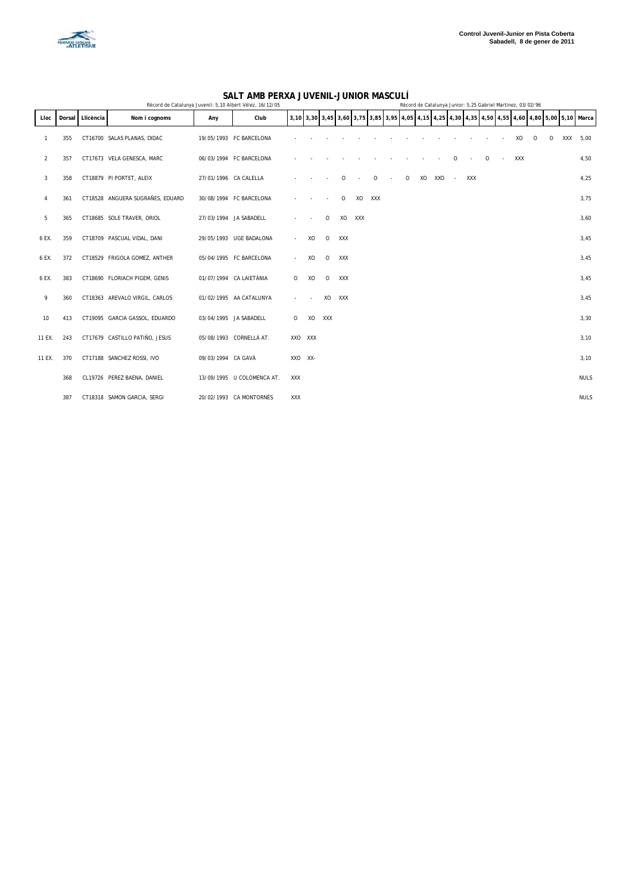

#### **SALT AMB PERXA JUVENIL-JUNIOR MASCULÍ**

|        |     |                  | Rècord de Catalunya Juvenil: 5,10 Albert Vélez, 16/12/05 |                       |                            |                           |         |         |     |     |         |        | Record de Catalunya Junior: 5,25 Gabriel Martinez, 03/02/96 |        |        |     |         |                             |            |          |          |            |                                                                                                 |
|--------|-----|------------------|----------------------------------------------------------|-----------------------|----------------------------|---------------------------|---------|---------|-----|-----|---------|--------|-------------------------------------------------------------|--------|--------|-----|---------|-----------------------------|------------|----------|----------|------------|-------------------------------------------------------------------------------------------------|
| Lloc   |     | Dorsal Llicència | Nom i cognoms                                            | Any                   | Club                       |                           |         |         |     |     |         |        |                                                             |        |        |     |         |                             |            |          |          |            | 3,10 3,30 3,45 3,60 3,75 3,85 3,95 4,05 4,15 4,25 4,30 4,35 4,50 4,55 4,60 4,80 5,00 5,10 Marca |
|        | 355 |                  | CT16700 SALAS PLANAS, DIDAC                              |                       | 19/05/1993 FC BARCELONA    |                           |         |         |     |     |         |        |                                                             |        |        |     |         |                             | XO         | $\Omega$ | $\Omega$ | <b>XXX</b> | 5,00                                                                                            |
| 2      | 357 |                  | CT17673 VELA GENESCA, MARC                               |                       | 06/03/1994 FC BARCELONA    |                           |         |         |     |     |         |        |                                                             |        | 0      |     | $\circ$ | $\mathcal{L}_{\mathcal{A}}$ | <b>XXX</b> |          |          |            | 4,50                                                                                            |
| 3      | 358 |                  | CT18879 PI PORTET, ALEIX                                 | 27/01/1996 CA CALELLA |                            |                           |         |         | 0   |     | $\circ$ | $\sim$ | $\circ$                                                     | XO XXO | $\sim$ | XXX |         |                             |            |          |          |            | 4,25                                                                                            |
| 4      | 361 |                  | CT18528 ANGUERA SUGRAÑES, EDUARD                         |                       | 30/08/1994 FC BARCELONA    |                           |         | $\sim$  | 0   | XO  | XXX     |        |                                                             |        |        |     |         |                             |            |          |          |            | 3,75                                                                                            |
| 5      | 365 |                  | CT18685 SOLE TRAVER, ORIOL                               |                       | 27/03/1994 JA SABADELL     |                           |         | $\circ$ | XO  | XXX |         |        |                                                             |        |        |     |         |                             |            |          |          |            | 3,60                                                                                            |
| 6 EX.  | 359 |                  | CT18709 PASCUAL VIDAL, DANI                              |                       | 29/05/1993 UGE BADALONA    | $\Delta \sim 100$         | XO      | $\circ$ | XXX |     |         |        |                                                             |        |        |     |         |                             |            |          |          |            | 3,45                                                                                            |
| 6 EX.  | 372 |                  | CT18529 FRIGOLA GOMEZ, ANTHER                            |                       | 05/04/1995 FC BARCELONA    | $\mathcal{L}_{\rm{max}}$  | XO      | $\circ$ | XXX |     |         |        |                                                             |        |        |     |         |                             |            |          |          |            | 3,45                                                                                            |
| 6 EX.  | 383 |                  | CT18690 FLORIACH PIGEM, GENIS                            |                       | 01/07/1994 CA LAIETÀNIA    | $\circ$                   | XO      | $\circ$ | XXX |     |         |        |                                                             |        |        |     |         |                             |            |          |          |            | 3,45                                                                                            |
| 9      | 360 |                  | CT18363 AREVALO VIRGIL, CARLOS                           |                       | 01/02/1995 AA CATALUNYA    | $\mathbf{a} = \mathbf{0}$ |         | XO      | XXX |     |         |        |                                                             |        |        |     |         |                             |            |          |          |            | 3,45                                                                                            |
| 10     | 413 |                  | CT19095 GARCIA GASSOL, EDUARDO                           |                       | 03/04/1995 JA SABADELL     | $\circ$                   | XO      | XXX     |     |     |         |        |                                                             |        |        |     |         |                             |            |          |          |            | 3,30                                                                                            |
| 11 EX. | 243 |                  | CT17679 CASTILLO PATIÑO, JESUS                           |                       | 05/08/1993 CORNELLÀ AT.    |                           | XXO XXX |         |     |     |         |        |                                                             |        |        |     |         |                             |            |          |          |            | 3,10                                                                                            |
| 11 EX. | 370 |                  | CT17188 SANCHEZ ROSSI, IVO                               | 09/03/1994 CA GAVÀ    |                            | XXO XX-                   |         |         |     |     |         |        |                                                             |        |        |     |         |                             |            |          |          |            | 3,10                                                                                            |
|        | 368 |                  | CL19726 PEREZ BAENA, DANIEL                              |                       | 13/09/1995 U COLOMENCA AT. | <b>XXX</b>                |         |         |     |     |         |        |                                                             |        |        |     |         |                             |            |          |          |            | <b>NULS</b>                                                                                     |
|        | 387 |                  | CT18318 SAMON GARCIA, SERGI                              |                       | 20/02/1993 CA MONTORNÈS    | XXX                       |         |         |     |     |         |        |                                                             |        |        |     |         |                             |            |          |          |            | <b>NULS</b>                                                                                     |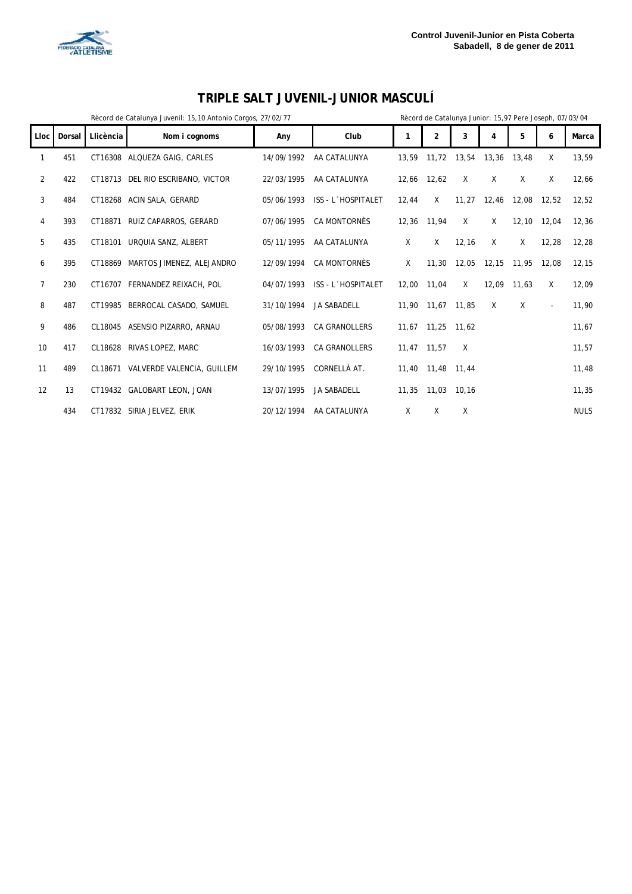



### **TRIPLE SALT JUVENIL-JUNIOR MASCULÍ**

| Rècord de Catalunya Junior: 15,97 Pere Joseph, 07/03/04<br>Rècord de Catalunya Juvenil: 15,10 Antonio Corgos, 27/02/77 |        |           |                             |            |                      |       |                |              |       |       |          |             |
|------------------------------------------------------------------------------------------------------------------------|--------|-----------|-----------------------------|------------|----------------------|-------|----------------|--------------|-------|-------|----------|-------------|
| Lloc                                                                                                                   | Dorsal | Llicència | Nom i cognoms               | Any        | Club                 | 1     | $\overline{2}$ | 3            | 4     | 5     | 6        | Marca       |
| 1                                                                                                                      | 451    | CT16308   | ALQUEZA GAIG, CARLES        | 14/09/1992 | AA CATALUNYA         | 13,59 | 11,72          | 13,54        | 13,36 | 13,48 | X        | 13,59       |
| 2                                                                                                                      | 422    | CT18713   | DEL RIO ESCRIBANO, VICTOR   | 22/03/1995 | AA CATALUNYA         | 12,66 | 12,62          | $\mathsf{X}$ | X     | X     | Χ        | 12,66       |
| 3                                                                                                                      | 484    |           | CT18268 ACIN SALA, GERARD   | 05/06/1993 | ISS - L'HOSPITALET   | 12,44 | X              | 11,27        | 12,46 | 12,08 | 12,52    | 12,52       |
| 4                                                                                                                      | 393    | CT18871   | RUIZ CAPARROS, GERARD       | 07/06/1995 | <b>CA MONTORNÈS</b>  | 12,36 | 11,94          | X            | X     | 12,10 | 12,04    | 12,36       |
| 5                                                                                                                      | 435    | CT18101   | URQUIA SANZ, ALBERT         | 05/11/1995 | AA CATALUNYA         | X     | X              | 12.16        | X     | X     | 12.28    | 12.28       |
| 6                                                                                                                      | 395    | CT18869   | MARTOS JIMENEZ, ALEJANDRO   | 12/09/1994 | <b>CA MONTORNÈS</b>  | X     | 11,30          | 12,05        | 12,15 | 11,95 | 12.08    | 12,15       |
| $\overline{7}$                                                                                                         | 230    | CT16707   | FERNANDEZ REIXACH, POL      | 04/07/1993 | ISS - L'HOSPITALET   | 12.00 | 11,04          | $\times$     | 12.09 | 11.63 | X        | 12,09       |
| 8                                                                                                                      | 487    | CT19985   | BERROCAL CASADO, SAMUEL     | 31/10/1994 | <b>JA SABADELL</b>   | 11,90 | 11,67          | 11.85        | X     | X     | $\omega$ | 11,90       |
| 9                                                                                                                      | 486    | CL18045   | ASENSIO PIZARRO, ARNAU      | 05/08/1993 | <b>CA GRANOLLERS</b> | 11,67 | 11,25          | 11.62        |       |       |          | 11,67       |
| 10                                                                                                                     | 417    | CL18628   | RIVAS LOPEZ, MARC           | 16/03/1993 | <b>CA GRANOLLERS</b> | 11,47 | 11,57          | X            |       |       |          | 11,57       |
| 11                                                                                                                     | 489    | CL18671   | VALVERDE VALENCIA, GUILLEM  | 29/10/1995 | CORNELLÀ AT.         | 11.40 | 11,48          | 11.44        |       |       |          | 11,48       |
| 12                                                                                                                     | 13     |           | CT19432 GALOBART LEON, JOAN | 13/07/1995 | <b>JA SABADELL</b>   | 11,35 | 11,03          | 10.16        |       |       |          | 11,35       |
|                                                                                                                        | 434    |           | CT17832 SIRIA JELVEZ, ERIK  | 20/12/1994 | AA CATALUNYA         | X     | X              | X            |       |       |          | <b>NULS</b> |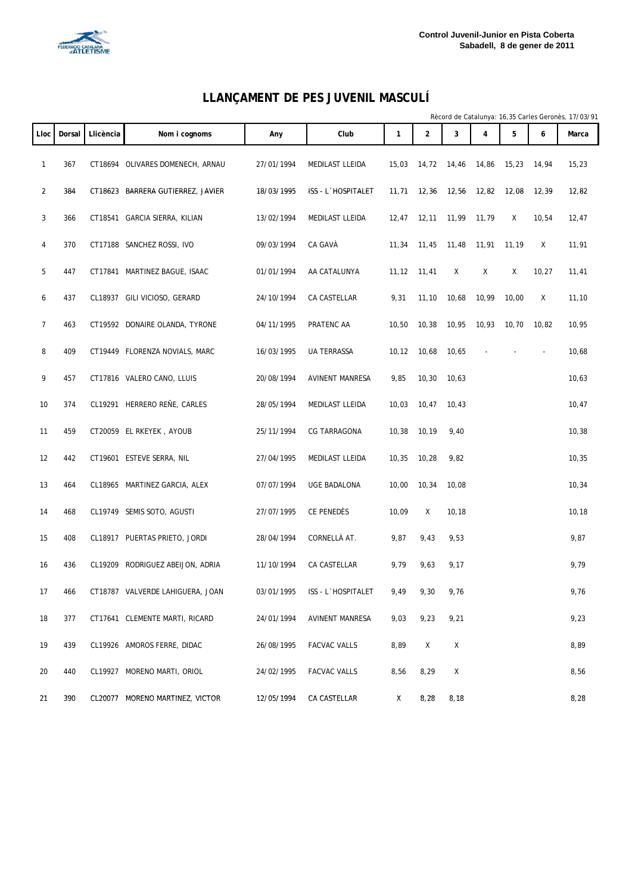

#### **LLANÇAMENT DE PES JUVENIL MASCULÍ**

|                |        |           |                                   |            |                        |        |                |        |                |       |       | Rècord de Catalunya: 16,35 Carles Geronès, 17/03/91 |
|----------------|--------|-----------|-----------------------------------|------------|------------------------|--------|----------------|--------|----------------|-------|-------|-----------------------------------------------------|
| <b>Lloc</b>    | Dorsal | Llicència | Nom i cognoms                     | Any        | Club                   | 1      | $\overline{2}$ | 3      | $\overline{4}$ | 5     | 6     | Marca                                               |
| 1              | 367    |           | CT18694 OLIVARES DOMENECH, ARNAU  | 27/01/1994 | MEDILAST LLEIDA        | 15,03  | 14,72          | 14,46  | 14,86          | 15,23 | 14,94 | 15,23                                               |
| $\overline{2}$ | 384    |           | CT18623 BARRERA GUTIERREZ, JAVIER | 18/03/1995 | ISS - L'HOSPITALET     | 11,71  | 12,36          | 12,56  | 12,82          | 12,08 | 12,39 | 12,82                                               |
| 3              | 366    |           | CT18541 GARCIA SIERRA, KILIAN     | 13/02/1994 | MEDILAST LLEIDA        | 12,47  | 12, 11         | 11,99  | 11,79          | Χ     | 10,54 | 12,47                                               |
| 4              | 370    |           | CT17188 SANCHEZ ROSSI, IVO        | 09/03/1994 | CA GAVÀ                | 11,34  | 11,45          | 11,48  | 11,91          | 11,19 | Χ     | 11,91                                               |
| 5              | 447    |           | CT17841 MARTINEZ BAGUE, ISAAC     | 01/01/1994 | AA CATALUNYA           | 11, 12 | 11,41          | Χ      | Χ              | Χ     | 10,27 | 11,41                                               |
| 6              | 437    |           | CL18937 GILI VICIOSO, GERARD      | 24/10/1994 | CA CASTELLAR           | 9,31   | 11,10          | 10,68  | 10,99          | 10,00 | Χ     | 11,10                                               |
| 7              | 463    |           | CT19592 DONAIRE OLANDA, TYRONE    | 04/11/1995 | PRATENC AA             | 10,50  | 10,38          | 10,95  | 10,93          | 10,70 | 10,82 | 10,95                                               |
| 8              | 409    |           | CT19449 FLORENZA NOVIALS, MARC    | 16/03/1995 | UA TERRASSA            | 10, 12 | 10,68          | 10,65  |                |       |       | 10,68                                               |
| 9              | 457    |           | CT17816 VALERO CANO, LLUIS        | 20/08/1994 | AVINENT MANRESA        | 9,85   | 10, 30         | 10,63  |                |       |       | 10,63                                               |
| 10             | 374    |           | CL19291 HERRERO REÑE, CARLES      | 28/05/1994 | MEDILAST LLEIDA        | 10,03  | 10,47          | 10,43  |                |       |       | 10,47                                               |
| 11             | 459    |           | CT20059 EL RKEYEK, AYOUB          | 25/11/1994 | CG TARRAGONA           | 10,38  | 10,19          | 9,40   |                |       |       | 10,38                                               |
| 12             | 442    |           | CT19601 ESTEVE SERRA, NIL         | 27/04/1995 | MEDILAST LLEIDA        | 10,35  | 10,28          | 9,82   |                |       |       | 10,35                                               |
| 13             | 464    |           | CL18965 MARTINEZ GARCIA, ALEX     | 07/07/1994 | UGE BADALONA           | 10,00  | 10,34          | 10,08  |                |       |       | 10,34                                               |
| 14             | 468    |           | CL19749 SEMIS SOTO, AGUSTI        | 27/07/1995 | CE PENEDÈS             | 10,09  | Χ              | 10, 18 |                |       |       | 10, 18                                              |
| 15             | 408    |           | CL18917 PUERTAS PRIETO, JORDI     | 28/04/1994 | CORNELLÀ AT.           | 9,87   | 9,43           | 9,53   |                |       |       | 9,87                                                |
| 16             | 436    |           | CL19209 RODRIGUEZ ABEIJON, ADRIA  | 11/10/1994 | CA CASTELLAR           | 9,79   | 9,63           | 9,17   |                |       |       | 9,79                                                |
| 17             | 466    |           | CT18787 VALVERDE LAHIGUERA, JOAN  | 03/01/1995 | ISS - L'HOSPITALET     | 9,49   | 9,30           | 9,76   |                |       |       | 9,76                                                |
| 18             | 377    |           | CT17641 CLEMENTE MARTI, RICARD    | 24/01/1994 | <b>AVINENT MANRESA</b> | 9,03   | 9,23           | 9,21   |                |       |       | 9,23                                                |
| 19             | 439    |           | CL19926 AMOROS FERRE, DIDAC       | 26/08/1995 | <b>FACVAC VALLS</b>    | 8,89   | Χ              | Χ      |                |       |       | 8,89                                                |
| 20             | 440    |           | CL19927 MORENO MARTI, ORIOL       | 24/02/1995 | <b>FACVAC VALLS</b>    | 8,56   | 8,29           | Χ      |                |       |       | 8,56                                                |
| 21             | 390    |           | CL20077 MORENO MARTINEZ, VICTOR   | 12/05/1994 | CA CASTELLAR           | X      | 8,28           | 8,18   |                |       |       | 8,28                                                |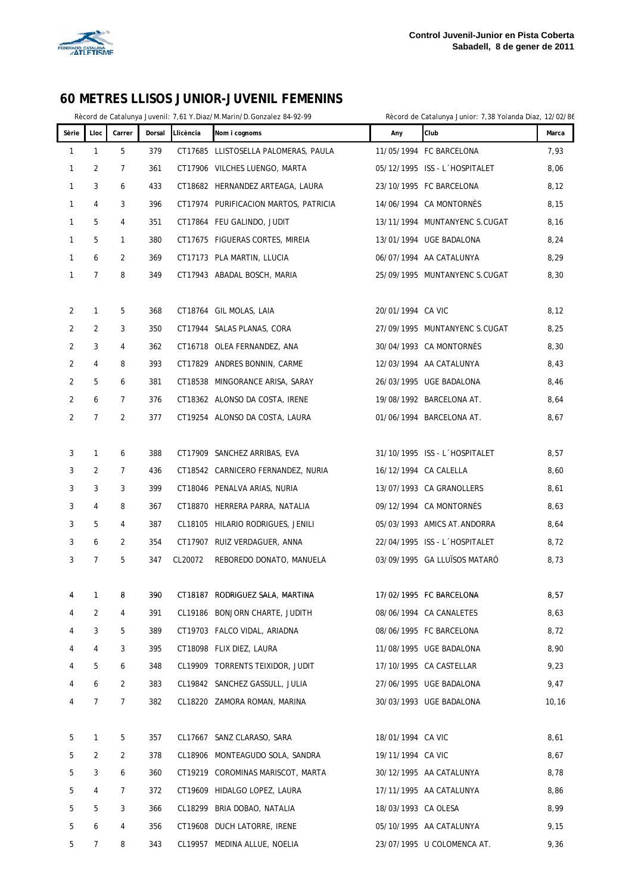

#### **60 METRES LLISOS JUNIOR-JUVENIL FEMENINS**

Rècord de Catalunya Juvenil: 7,61 Y.Diaz/M.Marin/D.Gonzalez 84-92-99 Rècord de Catalunya Junior: 7,38 Yolanda Diaz, 12/02/86

| Sèrie | Lloc           | Carrer         | Dorsal | Llicència | Nom i cognoms                         | Any                 | Club                          | Marca |
|-------|----------------|----------------|--------|-----------|---------------------------------------|---------------------|-------------------------------|-------|
| 1     | $\mathbf{1}$   | 5              | 379    |           | CT17685 LLISTOSELLA PALOMERAS, PAULA  |                     | 11/05/1994 FC BARCELONA       | 7,93  |
| 1     | 2              | 7              | 361    |           | CT17906 VILCHES LUENGO, MARTA         |                     | 05/12/1995 ISS - L'HOSPITALET | 8,06  |
| 1     | 3              | 6              | 433    |           | CT18682 HERNANDEZ ARTEAGA, LAURA      |                     | 23/10/1995 FC BARCELONA       | 8,12  |
| 1     | 4              | 3              | 396    |           | CT17974 PURIFICACION MARTOS, PATRICIA |                     | 14/06/1994 CA MONTORNÉS       | 8,15  |
| 1     | 5              | 4              | 351    |           | CT17864 FEU GALINDO, JUDIT            |                     | 13/11/1994 MUNTANYENC S.CUGAT | 8,16  |
| 1     | 5              | $\mathbf{1}$   | 380    |           | CT17675 FIGUERAS CORTES, MIREIA       |                     | 13/01/1994 UGE BADALONA       | 8,24  |
| 1     | 6              | $\overline{2}$ | 369    |           | CT17173 PLA MARTIN, LLUCIA            |                     | 06/07/1994 AA CATALUNYA       | 8,29  |
| 1     | $\overline{7}$ | 8              | 349    |           | CT17943 ABADAL BOSCH, MARIA           |                     | 25/09/1995 MUNTANYENC S.CUGAT | 8,30  |
|       |                |                |        |           |                                       |                     |                               |       |
| 2     | 1              | 5              | 368    |           | CT18764 GIL MOLAS, LAIA               | 20/01/1994 CA VIC   |                               | 8,12  |
| 2     | 2              | 3              | 350    |           | CT17944 SALAS PLANAS, CORA            |                     | 27/09/1995 MUNTANYENC S.CUGAT | 8,25  |
| 2     | 3              | 4              | 362    |           | CT16718 OLEA FERNANDEZ, ANA           |                     | 30/04/1993 CA MONTORNÉS       | 8,30  |
| 2     | 4              | 8              | 393    |           | CT17829 ANDRES BONNIN, CARME          |                     | 12/03/1994 AA CATALUNYA       | 8,43  |
| 2     | 5              | 6              | 381    | CT18538   | MINGORANCE ARISA, SARAY               |                     | 26/03/1995 UGE BADALONA       | 8,46  |
| 2     | 6              | $\overline{7}$ | 376    |           | CT18362 ALONSO DA COSTA, IRENE        |                     | 19/08/1992 BARCELONA AT.      | 8,64  |
| 2     | 7              | 2              | 377    |           | CT19254 ALONSO DA COSTA, LAURA        |                     | 01/06/1994 BARCELONA AT.      | 8,67  |
|       |                |                |        |           |                                       |                     |                               |       |
| 3     | $\mathbf{1}$   | 6              | 388    |           | CT17909 SANCHEZ ARRIBAS, EVA          |                     | 31/10/1995 ISS - L'HOSPITALET | 8,57  |
| 3     | 2              | 7              | 436    |           | CT18542 CARNICERO FERNANDEZ, NURIA    |                     | 16/12/1994 CA CALELLA         | 8,60  |
| 3     | 3              | 3              | 399    |           | CT18046 PENALVA ARIAS, NURIA          |                     | 13/07/1993 CA GRANOLLERS      | 8,61  |
| 3     | 4              | 8              | 367    |           | CT18870 HERRERA PARRA, NATALIA        |                     | 09/12/1994 CA MONTORNÉS       | 8,63  |
| 3     | 5              | 4              | 387    |           | CL18105 HILARIO RODRIGUES, JENILI     |                     | 05/03/1993 AMICS AT. ANDORRA  | 8,64  |
| 3     | 6              | $\overline{2}$ | 354    |           | CT17907 RUIZ VERDAGUER, ANNA          |                     | 22/04/1995 ISS - L'HOSPITALET | 8,72  |
| 3     | 7              | 5              | 347    | CL20072   | REBOREDO DONATO, MANUELA              |                     | 03/09/1995 GA LLUISOS MATARÓ  | 8,73  |
|       |                |                |        |           |                                       |                     |                               |       |
| 4     | 1              | 8              | 390    |           | CT18187 RODRIGUEZ SALA, MARTINA       |                     | 17/02/1995 FC BARCELONA       | 8,57  |
| 4     | 2              | 4              | 391    |           | CL19186 BONJORN CHARTE, JUDITH        |                     | 08/06/1994 CA CANALETES       | 8,63  |
| 4     | 3              | 5              | 389    |           | CT19703 FALCO VIDAL, ARIADNA          |                     | 08/06/1995 FC BARCELONA       | 8,72  |
| 4     | 4              | 3              | 395    |           | CT18098 FLIX DIEZ, LAURA              |                     | 11/08/1995 UGE BADALONA       | 8,90  |
| 4     | 5              | 6              | 348    |           | CL19909 TORRENTS TEIXIDOR, JUDIT      |                     | 17/10/1995 CA CASTELLAR       | 9,23  |
| 4     | 6              | $\overline{2}$ | 383    |           | CL19842 SANCHEZ GASSULL, JULIA        |                     | 27/06/1995 UGE BADALONA       | 9,47  |
| 4     | 7              | 7              | 382    |           | CL18220 ZAMORA ROMAN, MARINA          |                     | 30/03/1993 UGE BADALONA       | 10,16 |
|       |                |                |        |           |                                       |                     |                               |       |
| 5     | 1              | 5              | 357    |           | CL17667 SANZ CLARASO, SARA            | 18/01/1994 CA VIC   |                               | 8,61  |
| 5     | 2              | 2              | 378    |           | CL18906 MONTEAGUDO SOLA, SANDRA       | 19/11/1994 CA VIC   |                               | 8,67  |
| 5     | 3              | 6              | 360    |           | CT19219 COROMINAS MARISCOT, MARTA     |                     | 30/12/1995 AA CATALUNYA       | 8,78  |
| 5     | 4              | 7              | 372    |           | CT19609 HIDALGO LOPEZ, LAURA          |                     | 17/11/1995 AA CATALUNYA       | 8,86  |
| 5     | 5              | 3              | 366    |           | CL18299 BRIA DOBAO, NATALIA           | 18/03/1993 CA OLESA |                               | 8,99  |
| 5     | 6              | 4              | 356    |           | CT19608 DUCH LATORRE, IRENE           |                     | 05/10/1995 AA CATALUNYA       | 9,15  |
| 5     | 7              | 8              | 343    |           | CL19957 MEDINA ALLUE, NOELIA          |                     | 23/07/1995 U COLOMENCA AT.    | 9,36  |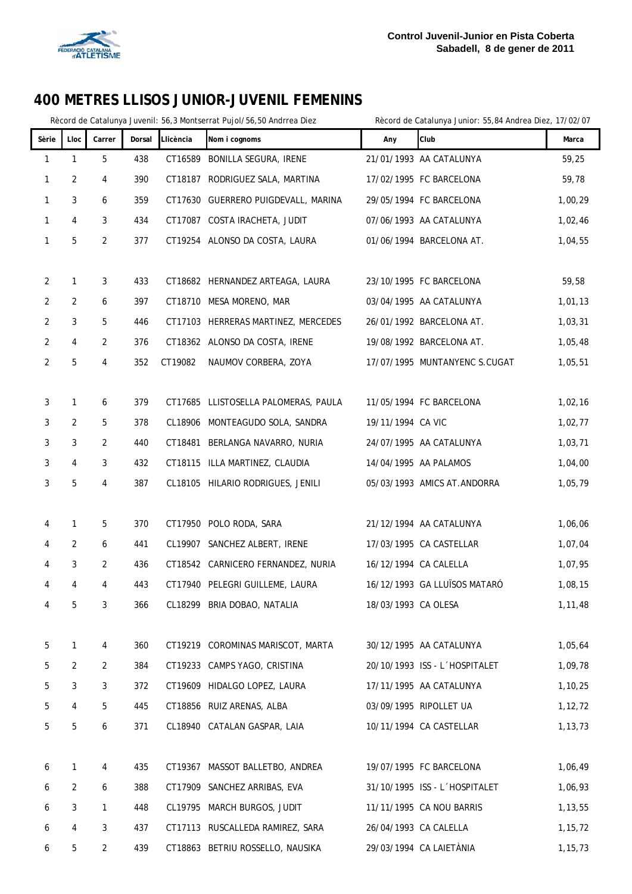

## **400 METRES LLISOS JUNIOR-JUVENIL FEMENINS**

|                |                |                |        |           | Rècord de Catalunya Juvenil: 56,3 Montserrat Pujol/56,50 Andrrea Diez |                     | Rècord de Catalunya Junior: 55,84 Andrea Diez, 17/02/07 |           |
|----------------|----------------|----------------|--------|-----------|-----------------------------------------------------------------------|---------------------|---------------------------------------------------------|-----------|
| Sèrie          | Lloc           | Carrer         | Dorsal | Llicència | Nom i cognoms                                                         | Any                 | Club                                                    | Marca     |
| 1              | $\mathbf{1}$   | 5              | 438    |           | CT16589 BONILLA SEGURA, IRENE                                         |                     | 21/01/1993 AA CATALUNYA                                 | 59,25     |
| 1              | $\overline{2}$ | 4              | 390    |           | CT18187 RODRIGUEZ SALA, MARTINA                                       |                     | 17/02/1995 FC BARCELONA                                 | 59,78     |
| 1              | 3              | 6              | 359    |           | CT17630 GUERRERO PUIGDEVALL, MARINA                                   |                     | 29/05/1994 FC BARCELONA                                 | 1,00,29   |
| 1              | 4              | 3              | 434    |           | CT17087 COSTA IRACHETA, JUDIT                                         |                     | 07/06/1993 AA CATALUNYA                                 | 1,02,46   |
| 1              | 5              | $\overline{2}$ | 377    |           | CT19254 ALONSO DA COSTA, LAURA                                        |                     | 01/06/1994 BARCELONA AT.                                | 1,04,55   |
|                |                |                |        |           |                                                                       |                     |                                                         |           |
| $\overline{2}$ | 1              | 3              | 433    |           | CT18682 HERNANDEZ ARTEAGA, LAURA                                      |                     | 23/10/1995 FC BARCELONA                                 | 59,58     |
| $\overline{2}$ | 2              | 6              | 397    |           | CT18710 MESA MORENO, MAR                                              |                     | 03/04/1995 AA CATALUNYA                                 | 1,01,13   |
| $\overline{2}$ | 3              | 5              | 446    |           | CT17103 HERRERAS MARTINEZ, MERCEDES                                   |                     | 26/01/1992 BARCELONA AT.                                | 1,03,31   |
| 2              | 4              | 2              | 376    |           | CT18362 ALONSO DA COSTA, IRENE                                        |                     | 19/08/1992 BARCELONA AT.                                | 1,05,48   |
| 2              | 5              | 4              | 352    | CT19082   | NAUMOV CORBERA, ZOYA                                                  |                     | 17/07/1995 MUNTANYENC S.CUGAT                           | 1,05,51   |
|                |                |                |        |           |                                                                       |                     |                                                         |           |
| 3              | 1              | 6              | 379    |           | CT17685 LLISTOSELLA PALOMERAS, PAULA                                  |                     | 11/05/1994 FC BARCELONA                                 | 1,02,16   |
| 3              | $\overline{2}$ | 5              | 378    |           | CL18906 MONTEAGUDO SOLA, SANDRA                                       | 19/11/1994 CA VIC   |                                                         | 1,02,77   |
| 3              | 3              | 2              | 440    |           | CT18481 BERLANGA NAVARRO, NURIA                                       |                     | 24/07/1995 AA CATALUNYA                                 | 1,03,71   |
| 3              | 4              | 3              | 432    |           | CT18115 ILLA MARTINEZ, CLAUDIA                                        |                     | 14/04/1995 AA PALAMOS                                   | 1,04,00   |
| 3              | 5              | 4              | 387    |           | CL18105 HILARIO RODRIGUES, JENILI                                     |                     | 05/03/1993 AMICS AT. ANDORRA                            | 1,05,79   |
|                |                |                |        |           |                                                                       |                     |                                                         |           |
| 4              | 1              | 5              | 370    |           | CT17950 POLO RODA, SARA                                               |                     | 21/12/1994 AA CATALUNYA                                 | 1,06,06   |
| 4              | 2              | 6              | 441    |           | CL19907 SANCHEZ ALBERT, IRENE                                         |                     | 17/03/1995 CA CASTELLAR                                 | 1,07,04   |
| 4              | 3              | 2              | 436    |           | CT18542 CARNICERO FERNANDEZ, NURIA                                    |                     | 16/12/1994 CA CALELLA                                   | 1,07,95   |
| 4              | 4              | 4              | 443    |           | CT17940 PELEGRI GUILLEME, LAURA                                       |                     | 16/12/1993 GA LLUÏSOS MATARÓ                            | 1,08,15   |
| 4              | 5              | 3              | 366    |           | CL18299 BRIA DOBAO, NATALIA                                           | 18/03/1993 CA OLESA |                                                         | 1,11,48   |
|                |                |                |        |           |                                                                       |                     |                                                         |           |
| 5              | 1              | 4              | 360    |           | CT19219 COROMINAS MARISCOT, MARTA                                     |                     | 30/12/1995 AA CATALUNYA                                 | 1,05,64   |
| 5              | 2              | 2              | 384    |           | CT19233 CAMPS YAGO, CRISTINA                                          |                     | 20/10/1993 ISS - L'HOSPITALET                           | 1,09,78   |
| 5              | $\mathbf{3}$   | 3              | 372    |           | CT19609 HIDALGO LOPEZ, LAURA                                          |                     | 17/11/1995 AA CATALUNYA                                 | 1,10,25   |
| 5              | 4              | 5              | 445    |           | CT18856 RUIZ ARENAS, ALBA                                             |                     | 03/09/1995 RIPOLLET UA                                  | 1,12,72   |
| 5              | 5              | 6              | 371    |           | CL18940 CATALAN GASPAR, LAIA                                          |                     | 10/11/1994 CA CASTELLAR                                 | 1,13,73   |
|                |                |                |        |           |                                                                       |                     |                                                         |           |
| 6              | 1              | 4              | 435    |           | CT19367 MASSOT BALLETBO, ANDREA                                       |                     | 19/07/1995 FC BARCELONA                                 | 1,06,49   |
| 6              | $\overline{2}$ | 6              | 388    |           | CT17909 SANCHEZ ARRIBAS, EVA                                          |                     | 31/10/1995 ISS - L'HOSPITALET                           | 1,06,93   |
| 6              | 3              | 1              | 448    |           | CL19795 MARCH BURGOS, JUDIT                                           |                     | 11/11/1995 CA NOU BARRIS                                | 1,13,55   |
| 6              | 4              | 3              | 437    |           | CT17113 RUSCALLEDA RAMIREZ, SARA                                      |                     | 26/04/1993 CA CALELLA                                   | 1, 15, 72 |
| 6              | 5              | 2              | 439    |           | CT18863 BETRIU ROSSELLO, NAUSIKA                                      |                     | 29/03/1994 CA LAIETÀNIA                                 | 1, 15, 73 |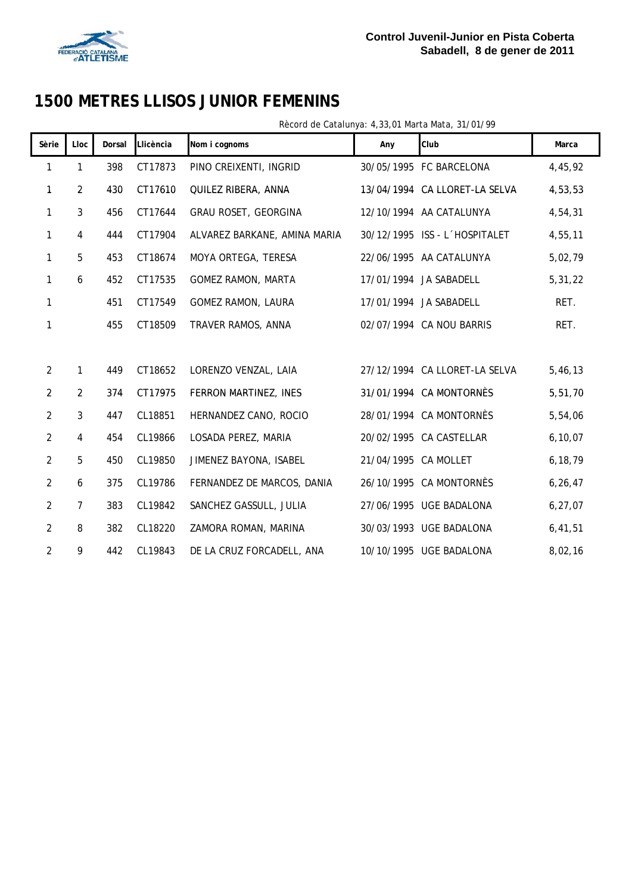

# **1500 METRES LLISOS JUNIOR FEMENINS**

| Sèrie          | Lloc           | Dorsal | Llicència | Nom i cognoms                | Any                  | Club                          | Marca     |
|----------------|----------------|--------|-----------|------------------------------|----------------------|-------------------------------|-----------|
| 1              | 1              | 398    | CT17873   | PINO CREIXENTI, INGRID       |                      | 30/05/1995 FC BARCELONA       | 4,45,92   |
| 1              | $\overline{2}$ | 430    | CT17610   | QUILEZ RIBERA, ANNA          |                      | 13/04/1994 CA LLORET-LA SELVA | 4,53,53   |
| 1              | 3              | 456    | CT17644   | GRAU ROSET, GEORGINA         |                      | 12/10/1994 AA CATALUNYA       | 4,54,31   |
| 1              | 4              | 444    | CT17904   | ALVAREZ BARKANE, AMINA MARIA |                      | 30/12/1995 ISS - L'HOSPITALET | 4,55,11   |
| 1              | 5              | 453    | CT18674   | MOYA ORTEGA, TERESA          |                      | 22/06/1995 AA CATALUNYA       | 5,02,79   |
| 1              | 6              | 452    | CT17535   | GOMEZ RAMON, MARTA           |                      | 17/01/1994 JA SABADELL        | 5, 31, 22 |
| 1              |                | 451    | CT17549   | <b>GOMEZ RAMON, LAURA</b>    |                      | 17/01/1994 JA SABADELL        | RET.      |
| 1              |                | 455    | CT18509   | TRAVER RAMOS, ANNA           |                      | 02/07/1994 CA NOU BARRIS      | RET.      |
|                |                |        |           |                              |                      |                               |           |
| $\overline{2}$ | 1              | 449    | CT18652   | LORENZO VENZAL, LAIA         |                      | 27/12/1994 CA LLORET-LA SELVA | 5,46,13   |
| $\overline{2}$ | $\overline{2}$ | 374    | CT17975   | FERRON MARTINEZ, INES        |                      | 31/01/1994 CA MONTORNÈS       | 5,51,70   |
| $\overline{2}$ | $\mathbf{3}$   | 447    | CL18851   | HERNANDEZ CANO, ROCIO        |                      | 28/01/1994 CA MONTORNÈS       | 5,54,06   |
| $\overline{2}$ | 4              | 454    | CL19866   | LOSADA PEREZ, MARIA          |                      | 20/02/1995 CA CASTELLAR       | 6, 10, 07 |
| $\overline{2}$ | 5              | 450    | CL19850   | JIMENEZ BAYONA, ISABEL       | 21/04/1995 CA MOLLET |                               | 6,18,79   |
| $\overline{2}$ | 6              | 375    | CL19786   | FERNANDEZ DE MARCOS, DANIA   |                      | 26/10/1995 CA MONTORNES       | 6, 26, 47 |
| $\overline{2}$ | $\overline{7}$ | 383    | CL19842   | SANCHEZ GASSULL, JULIA       |                      | 27/06/1995 UGE BADALONA       | 6, 27, 07 |
| $\overline{2}$ | 8              | 382    | CL18220   | ZAMORA ROMAN, MARINA         |                      | 30/03/1993 UGE BADALONA       | 6,41,51   |
| $\overline{2}$ | 9              | 442    | CL19843   | DE LA CRUZ FORCADELL, ANA    |                      | 10/10/1995 UGE BADALONA       | 8,02,16   |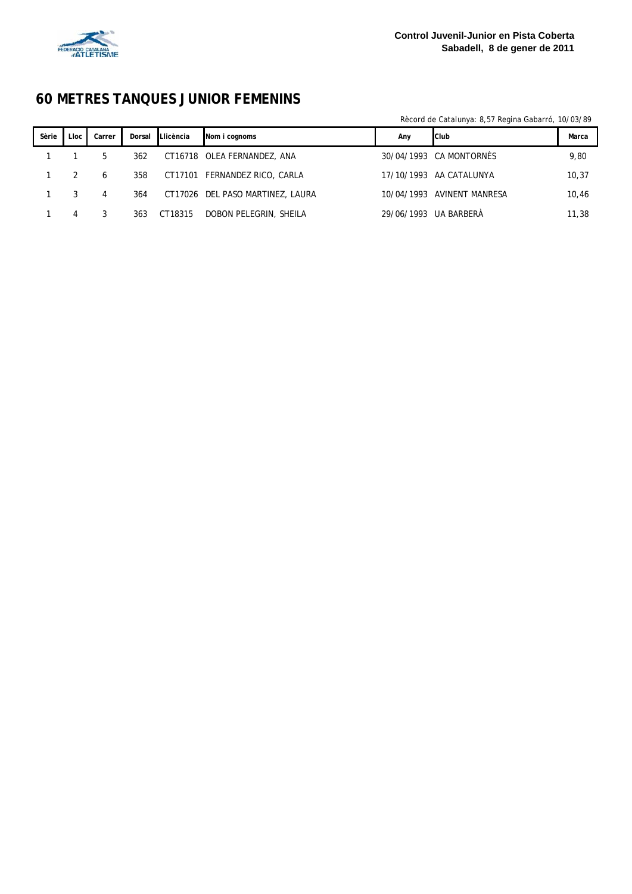

## **60 METRES TANQUES JUNIOR FEMENINS**

Rècord de Catalunya: 8,57 Regina Gabarró, 10/03/89

| Sèrie | Lloc | Carrer | Dorsal | Llicència | Nom i cognoms                 | Any                   | Club                       | Marca |
|-------|------|--------|--------|-----------|-------------------------------|-----------------------|----------------------------|-------|
|       |      | 5      | 362    |           | CT16718 OLEA FERNANDEZ, ANA   |                       | 30/04/1993 CA MONTORNÈS    | 9,80  |
|       |      | 6      | 358    |           | CT17101 FERNANDEZ RICO, CARLA |                       | 17/10/1993 AA CATALUNYA    | 10,37 |
|       |      | 4      | 364    | CT17026   | DEL PASO MARTINEZ, LAURA      |                       | 10/04/1993 AVINENT MANRESA | 10.46 |
|       | 4    |        | 363    | CT18315   | DOBON PELEGRIN, SHEILA        | 29/06/1993 UA BARBERÀ |                            | 11,38 |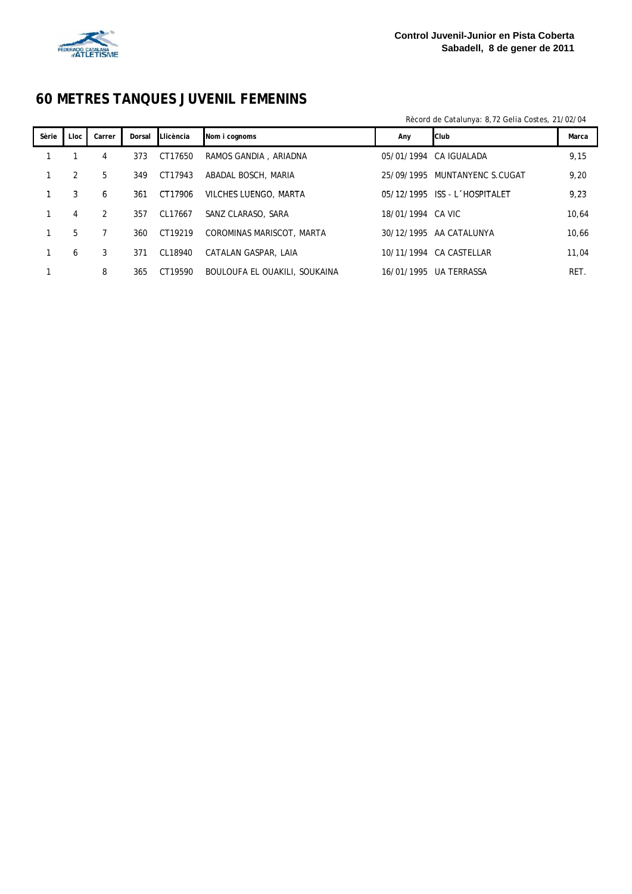

## **60 METRES TANQUES JUVENIL FEMENINS**

Rècord de Catalunya: 8,72 Gelia Costes, 21/02/04

| Lloc | Carrer | Dorsal | Nom i cognoms                                                                                 | Any | Marca                                                                                                                                                                                                              |
|------|--------|--------|-----------------------------------------------------------------------------------------------|-----|--------------------------------------------------------------------------------------------------------------------------------------------------------------------------------------------------------------------|
|      | 4      | 373    | RAMOS GANDIA, ARIADNA                                                                         |     | 9,15                                                                                                                                                                                                               |
| 2    | 5      | 349    | ABADAL BOSCH, MARIA                                                                           |     | 9,20                                                                                                                                                                                                               |
| 3    | 6      | 361    | VILCHES LUENGO, MARTA                                                                         |     | 9,23                                                                                                                                                                                                               |
| 4    | 2      | 357    | SANZ CLARASO, SARA                                                                            |     | 10,64                                                                                                                                                                                                              |
| 5    |        | 360    | COROMINAS MARISCOT, MARTA                                                                     |     | 10.66                                                                                                                                                                                                              |
| 6    | 3      | 371    | CATALAN GASPAR, LAIA                                                                          |     | 11,04                                                                                                                                                                                                              |
|      | 8      | 365    | BOULOUFA EL OUAKILI, SOUKAINA                                                                 |     | RET.                                                                                                                                                                                                               |
|      |        |        | <b>Llicència</b><br>CT17650<br>CT17943<br>CT17906<br>CL17667<br>CT19219<br>CL18940<br>CT19590 |     | <b>Club</b><br>05/01/1994 CA IGUALADA<br>25/09/1995 MUNTANYENC S.CUGAT<br>05/12/1995 ISS - L HOSPITALET<br>18/01/1994 CA VIC<br>30/12/1995 AA CATALUNYA<br>10/11/1994<br>CA CASTELLAR<br>UA TERRASSA<br>16/01/1995 |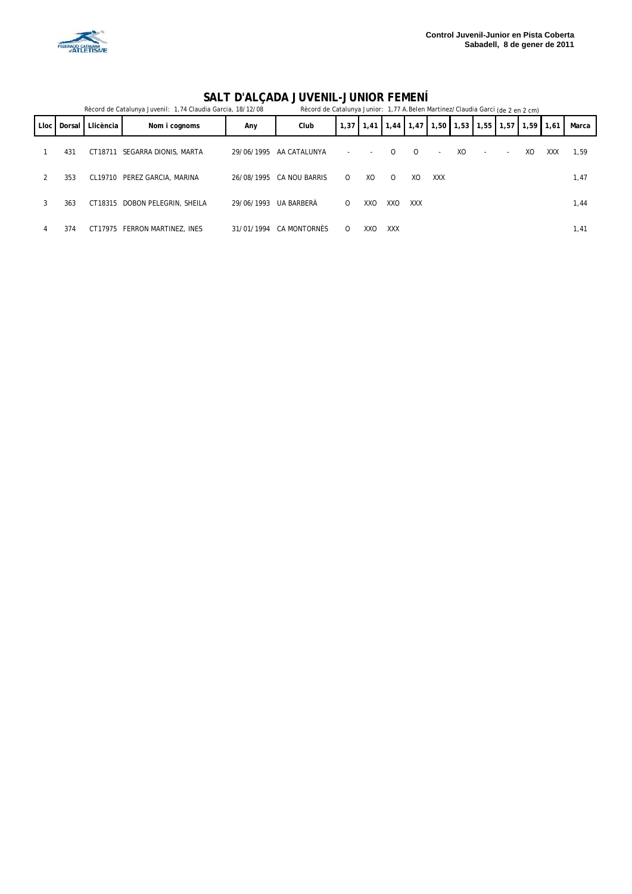

#### **SALT D'ALÇADA JUVENIL-JUNIOR FEMENÍ**

|      | Rècord de Catalunya Juvenil: 1,74 Claudia Garcia, 18/12/08 |           |                                |            |                          | Rècord de Catalunya Junior: 1,77 A.Belen Martinez/Claudia Garci (de 2 en 2 cm) |                          |             |          |                          |    |                          |                          |      |            |       |
|------|------------------------------------------------------------|-----------|--------------------------------|------------|--------------------------|--------------------------------------------------------------------------------|--------------------------|-------------|----------|--------------------------|----|--------------------------|--------------------------|------|------------|-------|
| Lloc | Dorsal                                                     | Llicència | Nom i cognoms                  | Any        | Club                     | 1,37                                                                           | 1,41                     | $1,44$ 1,47 |          |                          |    | $1,50$ 1,53 1,55 1,57    |                          | 1,59 | 1,61       | Marca |
|      | 431                                                        |           | CT18711 SEGARRA DIONIS, MARTA  |            | 29/06/1995 AA CATALUNYA  |                                                                                | $\overline{\phantom{a}}$ | $\Omega$    | $\Omega$ | $\overline{\phantom{a}}$ | XO | $\overline{\phantom{a}}$ | $\overline{\phantom{a}}$ | XO   | <b>XXX</b> | 1,59  |
|      | 353                                                        |           | CL19710 PEREZ GARCIA, MARINA   |            | 26/08/1995 CA NOU BARRIS | $\Omega$                                                                       | XQ                       | $\Omega$    | XQ       | <b>XXX</b>               |    |                          |                          |      |            | 1,47  |
| 3    | 363                                                        |           | CT18315 DOBON PELEGRIN, SHEILA | 29/06/1993 | UA BARBERÀ               | $\Omega$                                                                       | XXO                      | XXO         | XXX      |                          |    |                          |                          |      |            | 1,44  |
|      | 374                                                        |           | CT17975 FERRON MARTINEZ, INES  | 31/01/1994 | CA MONTORNÈS             | $\Omega$                                                                       | XXO                      | <b>XXX</b>  |          |                          |    |                          |                          |      |            | 1,41  |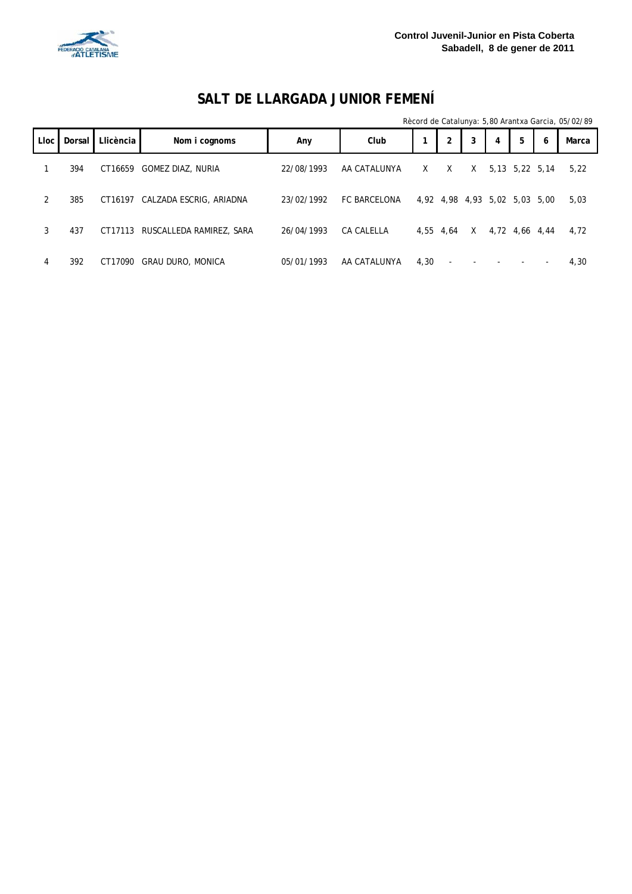

## **SALT DE LLARGADA JUNIOR FEMENÍ**

|             |        |           |                                  |            |                     |      |                               |   |   |                |   | Rècord de Catalunya: 5,80 Arantxa Garcia, 05/02/89 |
|-------------|--------|-----------|----------------------------------|------------|---------------------|------|-------------------------------|---|---|----------------|---|----------------------------------------------------|
| <b>Lloc</b> | Dorsal | Llicència | Nom i cognoms                    | Any        | Club                |      | $\overline{2}$                | 3 | 4 | 5              | 6 | Marca                                              |
|             | 394    | CT16659   | <b>GOMEZ DIAZ, NURIA</b>         | 22/08/1993 | AA CATALUNYA        | X    | X                             | X |   | 5,13 5,22 5,14 |   | 5,22                                               |
| 2           | 385    | CT16197   | CALZADA ESCRIG, ARIADNA          | 23/02/1992 | <b>FC BARCELONA</b> |      | 4,92 4,98 4,93 5,02 5,03 5,00 |   |   |                |   | 5,03                                               |
| 3           | 437    |           | CT17113 RUSCALLEDA RAMIREZ, SARA | 26/04/1993 | CA CALELLA          |      | 4,55 4,64                     | X |   | 4,72 4,66 4,44 |   | 4,72                                               |
| 4           | 392    | CT17090   | <b>GRAU DURO, MONICA</b>         | 05/01/1993 | AA CATALUNYA        | 4.30 |                               |   |   |                |   | 4,30                                               |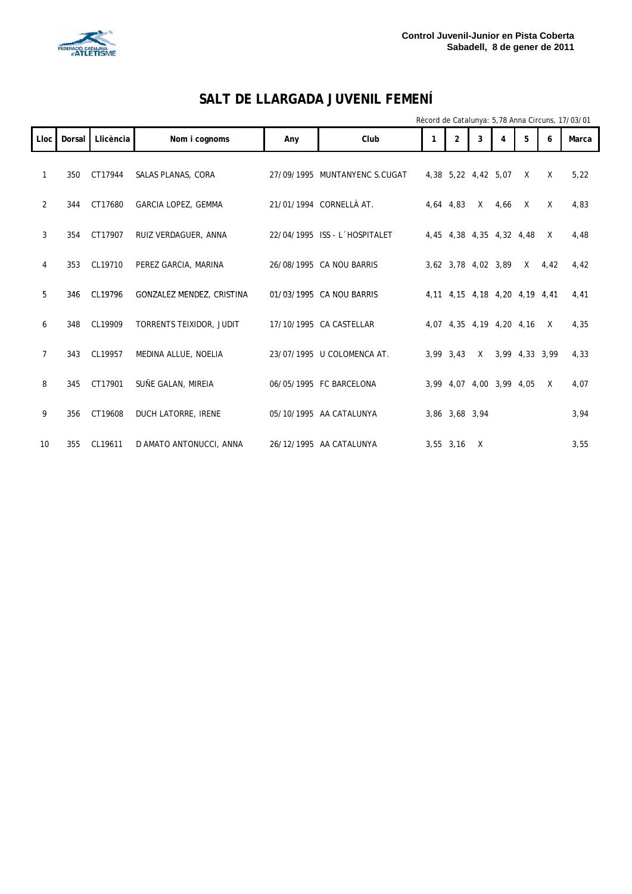

## **SALT DE LLARGADA JUVENIL FEMENÍ**

Rècord de Catalunya: 5,78 Anna Circuns, 17/03/01

|                |        |             |                           |     |                               |                     |   |      |                               |              | $n_{\rm U}$ and $n_{\rm U}$ cataluity at $\sigma_{\rm U}$ and $\sigma_{\rm H}$ called $\sigma_{\rm U}$ and $\sigma_{\rm U}$ |
|----------------|--------|-------------|---------------------------|-----|-------------------------------|---------------------|---|------|-------------------------------|--------------|-----------------------------------------------------------------------------------------------------------------------------|
| Lloc           | Dorsal | Llicència   | Nom i cognoms             | Any | Club                          | $\overline{2}$      | 3 | 4    | 5                             | 6            | Marca                                                                                                                       |
| $\mathbf{1}$   | 350    | CT17944     | SALAS PLANAS, CORA        |     | 27/09/1995 MUNTANYENC S.CUGAT | 4,38 5,22 4,42 5,07 |   |      | $\times$                      | $\times$     | 5,22                                                                                                                        |
| 2              | 344    | CT17680     | GARCIA LOPEZ, GEMMA       |     | 21/01/1994 CORNELLÀ AT.       | 4,64 4,83           | X | 4,66 | $\mathsf{X}$                  | $\times$     | 4,83                                                                                                                        |
| 3              |        | 354 CT17907 | RUIZ VERDAGUER, ANNA      |     | 22/04/1995 ISS - L'HOSPITALET |                     |   |      | 4,45 4,38 4,35 4,32 4,48      | $\mathsf{X}$ | 4,48                                                                                                                        |
| 4              | 353    | CL19710     | PEREZ GARCIA, MARINA      |     | 26/08/1995 CA NOU BARRIS      | 3,62 3,78 4,02 3,89 |   |      | X                             | 4,42         | 4,42                                                                                                                        |
| 5              | 346    | CL19796     | GONZALEZ MENDEZ, CRISTINA |     | 01/03/1995 CA NOU BARRIS      |                     |   |      | 4,11 4,15 4,18 4,20 4,19 4,41 |              | 4,41                                                                                                                        |
| 6              | 348    | CL19909     | TORRENTS TEIXIDOR, JUDIT  |     | 17/10/1995 CA CASTELLAR       |                     |   |      | 4,07 4,35 4,19 4,20 4,16      | $\times$     | 4,35                                                                                                                        |
| $\overline{7}$ | 343    | CL19957     | MEDINA ALLUE, NOELIA      |     | 23/07/1995 U COLOMENCA AT.    | 3,99 3,43           |   |      | X 3,99 4,33 3,99              |              | 4,33                                                                                                                        |
| 8              | 345    | CT17901     | SUÑE GALAN, MIREIA        |     | 06/05/1995 FC BARCELONA       |                     |   |      | 3,99 4,07 4,00 3,99 4,05      | $\mathsf{X}$ | 4,07                                                                                                                        |
| 9              | 356    | CT19608     | DUCH LATORRE, IRENE       |     | 05/10/1995 AA CATALUNYA       | 3,86 3,68 3,94      |   |      |                               |              | 3,94                                                                                                                        |
| 10             | 355    | CL19611     | D AMATO ANTONUCCI, ANNA   |     | 26/12/1995 AA CATALUNYA       | 3,55 3,16           | X |      |                               |              | 3,55                                                                                                                        |